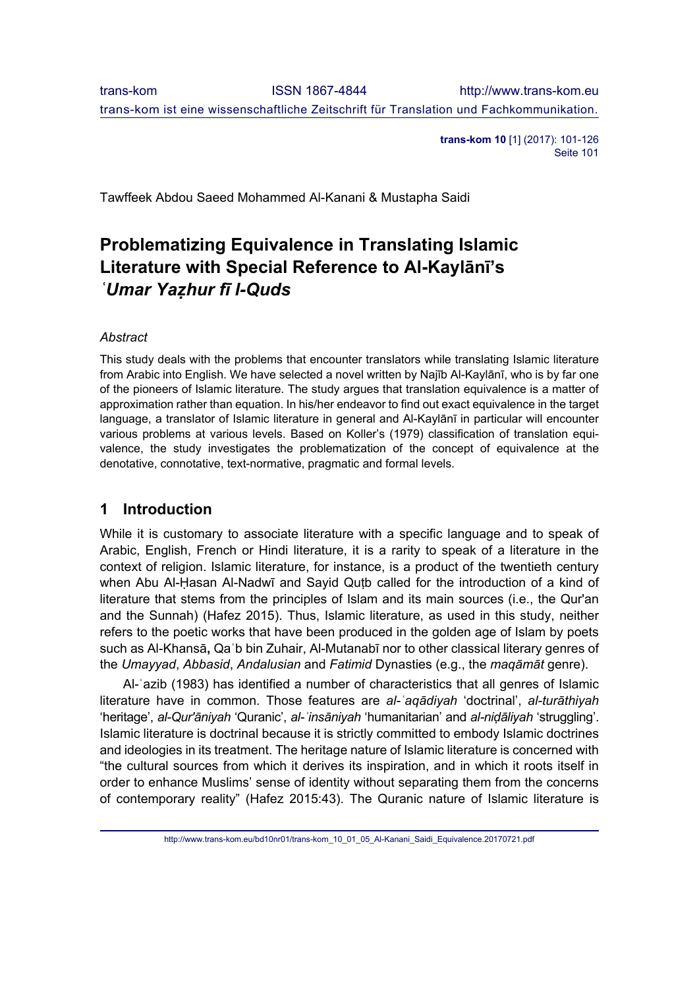**trans-kom 10** [1] (2017): 101-126 Seite 101

Tawffeek Abdou Saeed Mohammed Al-Kanani & Mustapha Saidi

# **Problematizing Equivalence in Translating Islamic Literature with Special Reference to Al-Kaylānī's**  *ʿUmar Yaẓhur fī l-Quds*

### *Abstract*

This study deals with the problems that encounter translators while translating Islamic literature from Arabic into English. We have selected a novel written by Najīb Al-Kaylānī, who is by far one of the pioneers of Islamic literature. The study argues that translation equivalence is a matter of approximation rather than equation. In his/her endeavor to find out exact equivalence in the target language, a translator of Islamic literature in general and Al-Kaylānī in particular will encounter various problems at various levels. Based on Koller's (1979) classification of translation equivalence, the study investigates the problematization of the concept of equivalence at the denotative, connotative, text-normative, pragmatic and formal levels.

### **1 Introduction**

While it is customary to associate literature with a specific language and to speak of Arabic, English, French or Hindi literature, it is a rarity to speak of a literature in the context of religion. Islamic literature, for instance, is a product of the twentieth century when Abu Al-Ḥasan Al-Nadwī and Sayid Quṭb called for the introduction of a kind of literature that stems from the principles of Islam and its main sources (i.e., the Qur'an and the Sunnah) (Hafez 2015). Thus, Islamic literature, as used in this study, neither refers to the poetic works that have been produced in the golden age of Islam by poets such as Al-Khansā**,** Qaʿb bin Zuhair, Al-Mutanabī nor to other classical literary genres of the *Umayyad*, *Abbasid*, *Andalusian* and *Fatimid* Dynasties (e.g., the *maqāmāt* genre).

Al-ʿazib (1983) has identified a number of characteristics that all genres of Islamic literature have in common. Those features are *al-ʿaqādiyah* 'doctrinal', *al-turāthiyah* 'heritage', *al-Qur'āniyah* 'Quranic', *al-ʾinsāniyah* 'humanitarian' and *al-niḍāliyah* 'struggling'. Islamic literature is doctrinal because it is strictly committed to embody Islamic doctrines and ideologies in its treatment. The heritage nature of Islamic literature is concerned with "the cultural sources from which it derives its inspiration, and in which it roots itself in order to enhance Muslims' sense of identity without separating them from the concerns of contemporary reality" (Hafez 2015:43). The Quranic nature of Islamic literature is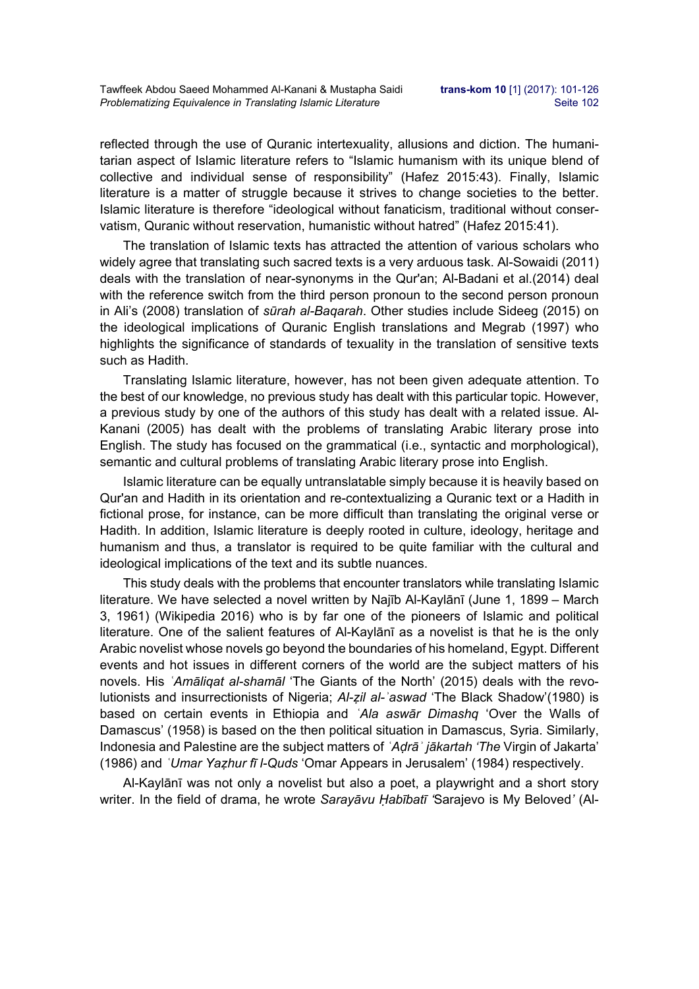reflected through the use of Quranic intertexuality, allusions and diction. The humanitarian aspect of Islamic literature refers to "Islamic humanism with its unique blend of collective and individual sense of responsibility" (Hafez 2015:43). Finally, Islamic literature is a matter of struggle because it strives to change societies to the better. Islamic literature is therefore "ideological without fanaticism, traditional without conservatism, Quranic without reservation, humanistic without hatred" (Hafez 2015:41).

The translation of Islamic texts has attracted the attention of various scholars who widely agree that translating such sacred texts is a very arduous task. Al-Sowaidi (2011) deals with the translation of near-synonyms in the Qur'an; Al-Badani et al.(2014) deal with the reference switch from the third person pronoun to the second person pronoun in Ali's (2008) translation of *sūrah al-Baqarah*. Other studies include Sideeg (2015) on the ideological implications of Quranic English translations and Megrab (1997) who highlights the significance of standards of texuality in the translation of sensitive texts such as Hadith.

Translating Islamic literature, however, has not been given adequate attention. To the best of our knowledge, no previous study has dealt with this particular topic. However, a previous study by one of the authors of this study has dealt with a related issue. Al-Kanani (2005) has dealt with the problems of translating Arabic literary prose into English. The study has focused on the grammatical (i.e., syntactic and morphological), semantic and cultural problems of translating Arabic literary prose into English.

Islamic literature can be equally untranslatable simply because it is heavily based on Qur'an and Hadith in its orientation and re-contextualizing a Quranic text or a Hadith in fictional prose, for instance, can be more difficult than translating the original verse or Hadith. In addition, Islamic literature is deeply rooted in culture, ideology, heritage and humanism and thus, a translator is required to be quite familiar with the cultural and ideological implications of the text and its subtle nuances.

This study deals with the problems that encounter translators while translating Islamic literature. We have selected a novel written by Najīb Al-Kaylānī (June 1, 1899 – March 3, 1961) (Wikipedia 2016) who is by far one of the pioneers of Islamic and political literature. One of the salient features of Al-Kaylānī as a novelist is that he is the only Arabic novelist whose novels go beyond the boundaries of his homeland, Egypt. Different events and hot issues in different corners of the world are the subject matters of his novels. His *ʿAmāliqat al-shamāl* 'The Giants of the North' (2015) deals with the revolutionists and insurrectionists of Nigeria; *Al-ẓil al-ʾaswad* 'The Black Shadow'(1980) is based on certain events in Ethiopia and *ʿAla aswār Dimashq* 'Over the Walls of Damascus' (1958) is based on the then political situation in Damascus, Syria. Similarly, Indonesia and Palestine are the subject matters of *ʿAḍrāʾ jākartah 'The* Virgin of Jakarta' (1986) and *ʿUmar Yaẓhur fī l-Quds* 'Omar Appears in Jerusalem' (1984) respectively.

Al-Kaylānī was not only a novelist but also a poet, a playwright and a short story writer. In the field of drama, he wrote *Sarayāvu Ḥabībatī '*Sarajevo is My Beloved*'* (Al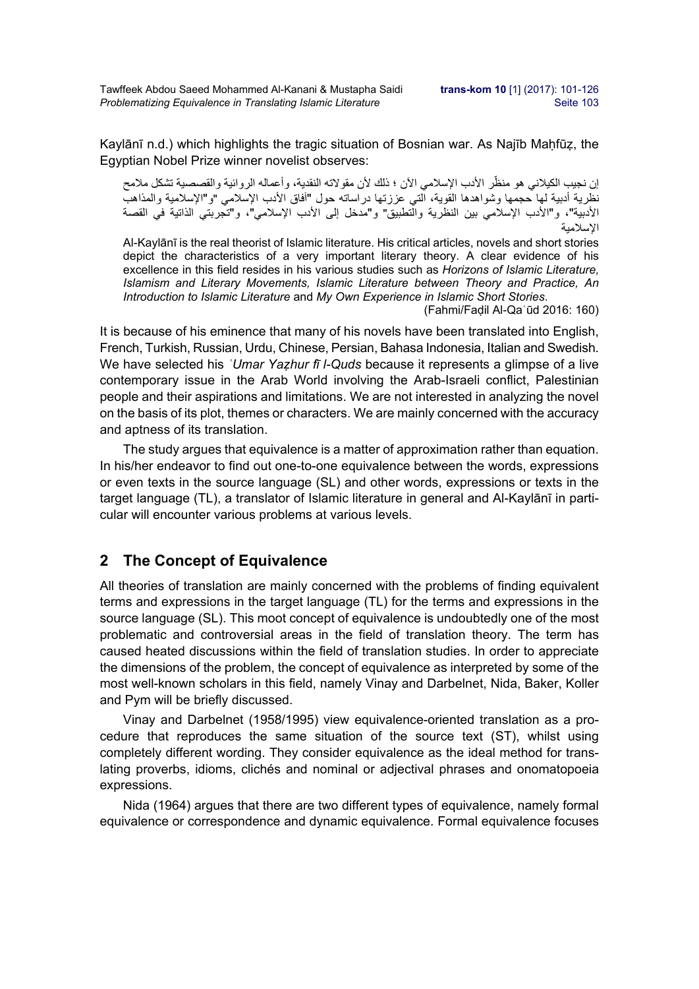Kaylānī n.d.) which highlights the tragic situation of Bosnian war. As Najīb Maḥfūẓ, the Egyptian Nobel Prize winner novelist observes:

ان نجيب الكيلاني هو منظّر الأدب الإسلامي الآن ؛ ذلك لأن مقولاته النقدية، وأعماله الروائية والقصصية تشكل ملامح نظرية أدبية لها حجمها وشواهدها القوية، التي عززتها دراساته حول "آفاق الأدب الإسلامي "و"الإسلامية والمذاهب الأدبية"، و"الأدب الإسلامي بين النظرية والتطبيق" و"مدخل إلى الأدب الإسلامي"، و"تجربتي الذاتية في القصة الإسلامية

Al-Kaylānī is the real theorist of Islamic literature. His critical articles, novels and short stories depict the characteristics of a very important literary theory. A clear evidence of his excellence in this field resides in his various studies such as *Horizons of Islamic Literature, Islamism and Literary Movements, Islamic Literature between Theory and Practice, An Introduction to Islamic Literature* and *My Own Experience in Islamic Short Stories*.

(Fahmi/Faḍil Al-Qaʿūd 2016: 160)

It is because of his eminence that many of his novels have been translated into English, French, Turkish, Russian, Urdu, Chinese, Persian, Bahasa Indonesia, Italian and Swedish. We have selected his *ʿUmar Yaẓhur fī l-Quds* because it represents a glimpse of a live contemporary issue in the Arab World involving the Arab-Israeli conflict, Palestinian people and their aspirations and limitations. We are not interested in analyzing the novel on the basis of its plot, themes or characters. We are mainly concerned with the accuracy and aptness of its translation.

The study argues that equivalence is a matter of approximation rather than equation. In his/her endeavor to find out one-to-one equivalence between the words, expressions or even texts in the source language (SL) and other words, expressions or texts in the target language (TL), a translator of Islamic literature in general and Al-Kaylānī in particular will encounter various problems at various levels.

## **2 The Concept of Equivalence**

All theories of translation are mainly concerned with the problems of finding equivalent terms and expressions in the target language (TL) for the terms and expressions in the source language (SL). This moot concept of equivalence is undoubtedly one of the most problematic and controversial areas in the field of translation theory. The term has caused heated discussions within the field of translation studies. In order to appreciate the dimensions of the problem, the concept of equivalence as interpreted by some of the most well-known scholars in this field, namely Vinay and Darbelnet, Nida, Baker, Koller and Pym will be briefly discussed.

Vinay and Darbelnet (1958/1995) view equivalence-oriented translation as a procedure that reproduces the same situation of the source text (ST), whilst using completely different wording. They consider equivalence as the ideal method for translating proverbs, idioms, clichés and nominal or adjectival phrases and onomatopoeia expressions.

Nida (1964) argues that there are two different types of equivalence, namely formal equivalence or correspondence and dynamic equivalence. Formal equivalence focuses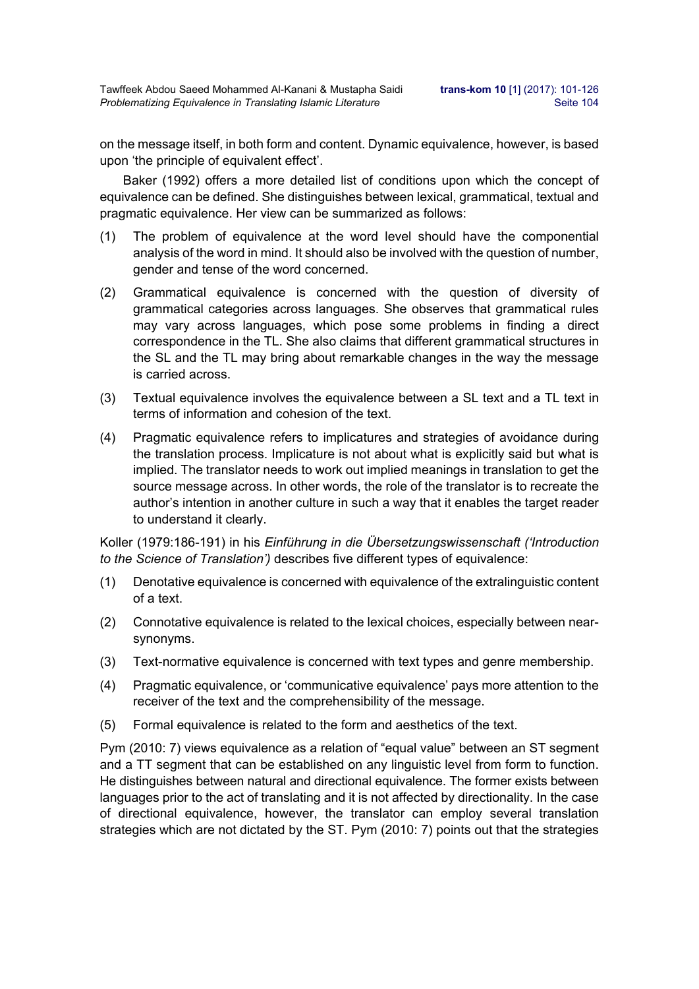on the message itself, in both form and content. Dynamic equivalence, however, is based upon 'the principle of equivalent effect'.

Baker (1992) offers a more detailed list of conditions upon which the concept of equivalence can be defined. She distinguishes between lexical, grammatical, textual and pragmatic equivalence. Her view can be summarized as follows:

- (1) The problem of equivalence at the word level should have the componential analysis of the word in mind. It should also be involved with the question of number, gender and tense of the word concerned.
- (2) Grammatical equivalence is concerned with the question of diversity of grammatical categories across languages. She observes that grammatical rules may vary across languages, which pose some problems in finding a direct correspondence in the TL. She also claims that different grammatical structures in the SL and the TL may bring about remarkable changes in the way the message is carried across.
- (3) Textual equivalence involves the equivalence between a SL text and a TL text in terms of information and cohesion of the text.
- (4) Pragmatic equivalence refers to implicatures and strategies of avoidance during the translation process. Implicature is not about what is explicitly said but what is implied. The translator needs to work out implied meanings in translation to get the source message across. In other words, the role of the translator is to recreate the author's intention in another culture in such a way that it enables the target reader to understand it clearly.

Koller (1979:186-191) in his *Einführung in die Übersetzungswissenschaft ('Introduction to the Science of Translation')* describes five different types of equivalence:

- (1) Denotative equivalence is concerned with equivalence of the extralinguistic content of a text.
- (2) Connotative equivalence is related to the lexical choices, especially between nearsynonyms.
- (3) Text-normative equivalence is concerned with text types and genre membership.
- (4) Pragmatic equivalence, or 'communicative equivalence' pays more attention to the receiver of the text and the comprehensibility of the message.
- (5) Formal equivalence is related to the form and aesthetics of the text.

Pym (2010: 7) views equivalence as a relation of "equal value" between an ST segment and a TT segment that can be established on any linguistic level from form to function. He distinguishes between natural and directional equivalence. The former exists between languages prior to the act of translating and it is not affected by directionality. In the case of directional equivalence, however, the translator can employ several translation strategies which are not dictated by the ST. Pym (2010: 7) points out that the strategies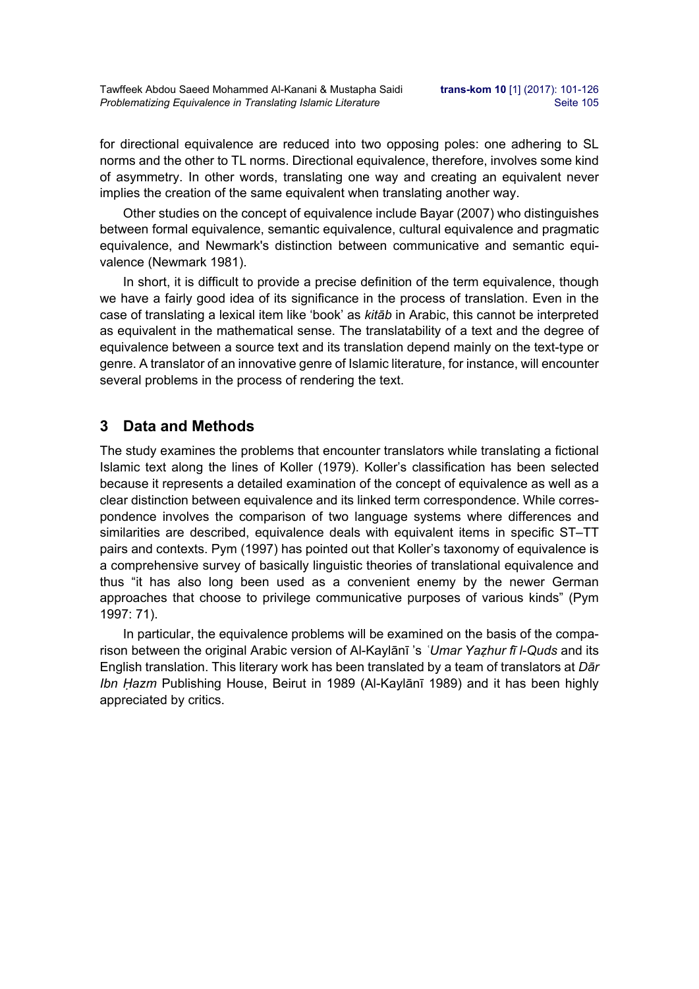for directional equivalence are reduced into two opposing poles: one adhering to SL norms and the other to TL norms. Directional equivalence, therefore, involves some kind of asymmetry. In other words, translating one way and creating an equivalent never implies the creation of the same equivalent when translating another way.

Other studies on the concept of equivalence include Bayar (2007) who distinguishes between formal equivalence, semantic equivalence, cultural equivalence and pragmatic equivalence, and Newmark's distinction between communicative and semantic equivalence (Newmark 1981).

In short, it is difficult to provide a precise definition of the term equivalence, though we have a fairly good idea of its significance in the process of translation. Even in the case of translating a lexical item like 'book' as *kitāb* in Arabic, this cannot be interpreted as equivalent in the mathematical sense. The translatability of a text and the degree of equivalence between a source text and its translation depend mainly on the text-type or genre. A translator of an innovative genre of Islamic literature, for instance, will encounter several problems in the process of rendering the text.

### **3 Data and Methods**

The study examines the problems that encounter translators while translating a fictional Islamic text along the lines of Koller (1979). Koller's classification has been selected because it represents a detailed examination of the concept of equivalence as well as a clear distinction between equivalence and its linked term correspondence. While correspondence involves the comparison of two language systems where differences and similarities are described, equivalence deals with equivalent items in specific ST–TT pairs and contexts. Pym (1997) has pointed out that Koller's taxonomy of equivalence is a comprehensive survey of basically linguistic theories of translational equivalence and thus "it has also long been used as a convenient enemy by the newer German approaches that choose to privilege communicative purposes of various kinds" (Pym 1997: 71).

In particular, the equivalence problems will be examined on the basis of the comparison between the original Arabic version of Al-Kaylānī 's *ʿUmar Yaẓhur fī l-Quds* and its English translation. This literary work has been translated by a team of translators at *Dār Ibn Ḥazm* Publishing House, Beirut in 1989 (Al-Kaylānī 1989) and it has been highly appreciated by critics.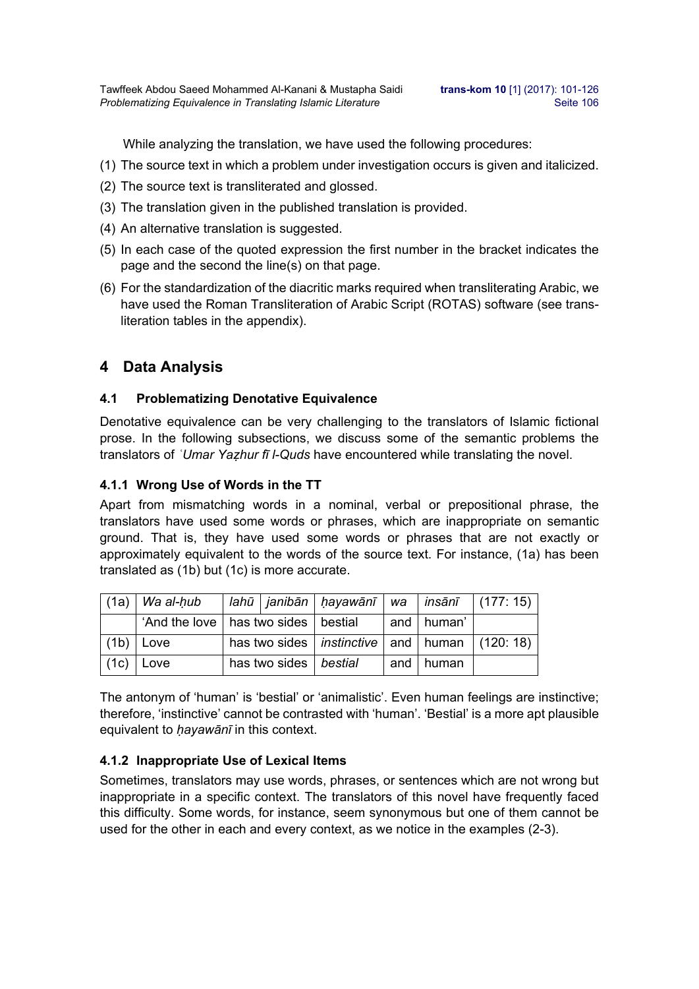Tawffeek Abdou Saeed Mohammed Al-Kanani & Mustapha Saidi **trans-kom 10** [1] (2017): 101-126 **Problematizing Equivalence in Translating Islamic Literature** Sette 106

While analyzing the translation, we have used the following procedures:

- (1) The source text in which a problem under investigation occurs is given and italicized.
- (2) The source text is transliterated and glossed.
- (3) The translation given in the published translation is provided.
- (4) An alternative translation is suggested.
- (5) In each case of the quoted expression the first number in the bracket indicates the page and the second the line(s) on that page.
- (6) For the standardization of the diacritic marks required when transliterating Arabic, we have used the Roman Transliteration of Arabic Script (ROTAS) software (see transliteration tables in the appendix).

### **4 Data Analysis**

### **4.1 Problematizing Denotative Equivalence**

Denotative equivalence can be very challenging to the translators of Islamic fictional prose. In the following subsections, we discuss some of the semantic problems the translators of *ʿUmar Yaẓhur fī l-Quds* have encountered while translating the novel.

### **4.1.1 Wrong Use of Words in the TT**

Apart from mismatching words in a nominal, verbal or prepositional phrase, the translators have used some words or phrases, which are inappropriate on semantic ground. That is, they have used some words or phrases that are not exactly or approximately equivalent to the words of the source text. For instance, (1a) has been translated as (1b) but (1c) is more accurate.

| (1a)   <i>Wa al-ḥub</i>                 |                         | lahū   janibān   hayawānī   wa   insānī   (177: 15)                  |             |  |
|-----------------------------------------|-------------------------|----------------------------------------------------------------------|-------------|--|
| 'And the love   has two sides   bestial |                         |                                                                      | and human'  |  |
| $(1b)$ Love                             |                         | has two sides $ $ <i>instinctive</i> $ $ and $ $ human $ $ (120: 18) |             |  |
| $(1c)$ Love                             | has two sides   bestial |                                                                      | and I human |  |

The antonym of 'human' is 'bestial' or 'animalistic'. Even human feelings are instinctive; therefore, 'instinctive' cannot be contrasted with 'human'. 'Bestial' is a more apt plausible equivalent to *ḥayawānī* in this context.

### **4.1.2 Inappropriate Use of Lexical Items**

Sometimes, translators may use words, phrases, or sentences which are not wrong but inappropriate in a specific context. The translators of this novel have frequently faced this difficulty. Some words, for instance, seem synonymous but one of them cannot be used for the other in each and every context, as we notice in the examples (2-3).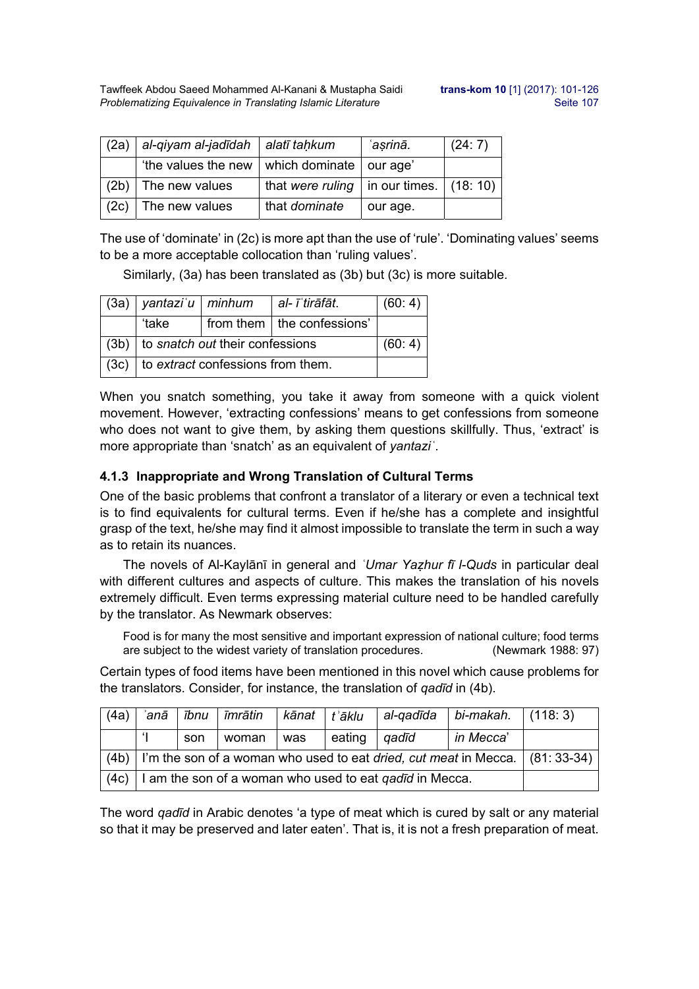Tawffeek Abdou Saeed Mohammed Al-Kanani & Mustapha Saidi **trans-kom 10** [1] (2017): 101-126 **Problematizing Equivalence in Translating Islamic Literature** Sette 107

| (2a) | al-qiyam al-jadīdah   alatī taḥkum |                                            | ʿasrinā. | (24:7) |
|------|------------------------------------|--------------------------------------------|----------|--------|
|      | the values the new                 | which dominate   our age'                  |          |        |
| (2b) | The new values                     | that were ruling   in our times. $(18:10)$ |          |        |
| (2c) | The new values                     | that dominate                              | our age. |        |

The use of 'dominate' in (2c) is more apt than the use of 'rule'. 'Dominating values' seems to be a more acceptable collocation than 'ruling values'.

Similarly, (3a) has been translated as (3b) but (3c) is more suitable.

|       |                                               | $(3a)$   yantazi'u   minhum   al- ī'tirāfāt. | (60:4) |  |  |  |
|-------|-----------------------------------------------|----------------------------------------------|--------|--|--|--|
| ʻtake |                                               | from them   the confessions'                 |        |  |  |  |
|       | $(3b)$ to <i>snatch out</i> their confessions |                                              |        |  |  |  |
|       | $(3c)$ to extract confessions from them.      |                                              |        |  |  |  |

When you snatch something, you take it away from someone with a quick violent movement. However, 'extracting confessions' means to get confessions from someone who does not want to give them, by asking them questions skillfully. Thus, 'extract' is more appropriate than 'snatch' as an equivalent of *yantaziʿ*.

### **4.1.3 Inappropriate and Wrong Translation of Cultural Terms**

One of the basic problems that confront a translator of a literary or even a technical text is to find equivalents for cultural terms. Even if he/she has a complete and insightful grasp of the text, he/she may find it almost impossible to translate the term in such a way as to retain its nuances.

The novels of Al-Kaylānī in general and *ʿUmar Yaẓhur fī l-Quds* in particular deal with different cultures and aspects of culture. This makes the translation of his novels extremely difficult. Even terms expressing material culture need to be handled carefully by the translator. As Newmark observes:

Food is for many the most sensitive and important expression of national culture; food terms are subject to the widest variety of translation procedures. (Newmark 1988: 97)

Certain types of food items have been mentioned in this novel which cause problems for the translators. Consider, for instance, the translation of *qadīd* in (4b).

| (4a) | ʿanā |                                                                                               | ībnu   īmrātin | kānat   tʾāklu |        | al-qadīda | bi-makah. $(118:3)$ |  |  |
|------|------|-----------------------------------------------------------------------------------------------|----------------|----------------|--------|-----------|---------------------|--|--|
|      |      | son                                                                                           | woman          | was            | eating | qadīd     | in Mecca'           |  |  |
|      |      | $(4b)$   I'm the son of a woman who used to eat <i>dried, cut meat</i> in Mecca. $(81:33-34)$ |                |                |        |           |                     |  |  |
| (4c) |      | I am the son of a woman who used to eat gadid in Mecca.                                       |                |                |        |           |                     |  |  |

The word *qadīd* in Arabic denotes 'a type of meat which is cured by salt or any material so that it may be preserved and later eaten'. That is, it is not a fresh preparation of meat.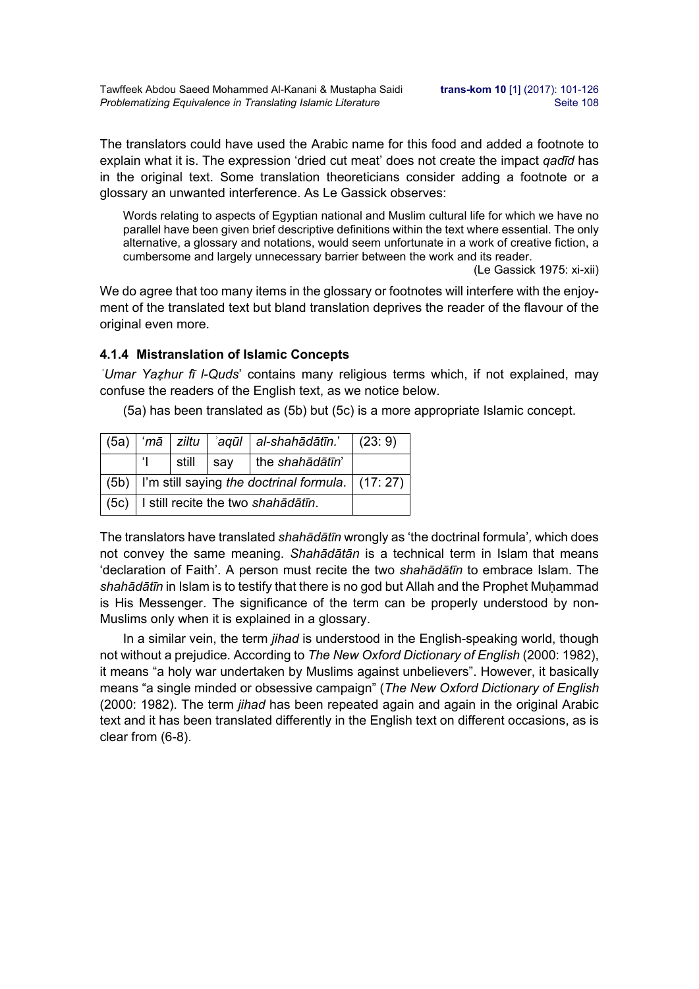The translators could have used the Arabic name for this food and added a footnote to explain what it is. The expression 'dried cut meat' does not create the impact *qadīd* has in the original text. Some translation theoreticians consider adding a footnote or a glossary an unwanted interference. As Le Gassick observes:

Words relating to aspects of Egyptian national and Muslim cultural life for which we have no parallel have been given brief descriptive definitions within the text where essential. The only alternative, a glossary and notations, would seem unfortunate in a work of creative fiction, a cumbersome and largely unnecessary barrier between the work and its reader.

(Le Gassick 1975: xi-xii)

We do agree that too many items in the glossary or footnotes will interfere with the enjoyment of the translated text but bland translation deprives the reader of the flavour of the original even more.

### **4.1.4 Mistranslation of Islamic Concepts**

*ʿUmar Yaẓhur fī l-Quds*' contains many religious terms which, if not explained, may confuse the readers of the English text, as we notice below.

(5a) has been translated as (5b) but (5c) is a more appropriate Islamic concept.

|  |                                                            |     | $(5a)$   'mā   ziltu   'aqūl   al-shahādātīn.' | (23:9) |  |  |
|--|------------------------------------------------------------|-----|------------------------------------------------|--------|--|--|
|  | still                                                      | say | the shahādātīn'                                |        |  |  |
|  | $(5b)$   I'm still saying the doctrinal formula. $(17:27)$ |     |                                                |        |  |  |
|  |                                                            |     | $(5c)$   I still recite the two shahadatin.    |        |  |  |

The translators have translated *shahādātīn* wrongly as 'the doctrinal formula'*,* which does not convey the same meaning. *Shahādātān* is a technical term in Islam that means 'declaration of Faith'. A person must recite the two *shahādātīn* to embrace Islam. The *shahādātīn* in Islam is to testify that there is no god but Allah and the Prophet Muḥammad is His Messenger. The significance of the term can be properly understood by non-Muslims only when it is explained in a glossary.

In a similar vein, the term *jihad* is understood in the English-speaking world, though not without a prejudice. According to *The New Oxford Dictionary of English* (2000: 1982), it means "a holy war undertaken by Muslims against unbelievers". However, it basically means "a single minded or obsessive campaign" (*The New Oxford Dictionary of English* (2000: 1982). The term *jihad* has been repeated again and again in the original Arabic text and it has been translated differently in the English text on different occasions, as is clear from (6-8).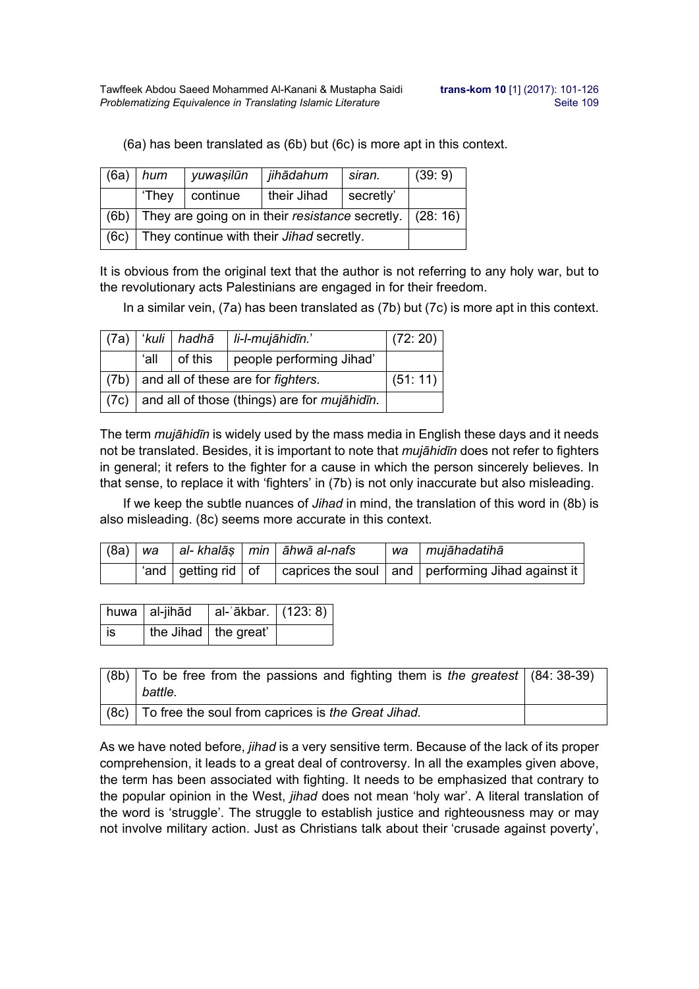Tawffeek Abdou Saeed Mohammed Al-Kanani & Mustapha Saidi **trans-kom 10** [1] (2017): 101-126 **Problematizing Equivalence in Translating Islamic Literature** Sette 109 Seite 109

(6a) has been translated as (6b) but (6c) is more apt in this context.

| (6a) | hum   | yuwaşilūn                                                      | <i>ihādahum</i>                          | siran.    | (39:9) |
|------|-------|----------------------------------------------------------------|------------------------------------------|-----------|--------|
|      | 'They | continue                                                       | their Jihad                              | secretly' |        |
|      |       | (6b) They are going on in their resistance secretly. $(28:16)$ |                                          |           |        |
| (6c) |       |                                                                | They continue with their Jihad secretly. |           |        |

It is obvious from the original text that the author is not referring to any holy war, but to the revolutionary acts Palestinians are engaged in for their freedom.

In a similar vein, (7a) has been translated as (7b) but (7c) is more apt in this context.

| (7a) |                                                     | ʻkuli   hadhā                      | li-l-mujāhidīn.'                                            | (72:20) |  |  |
|------|-----------------------------------------------------|------------------------------------|-------------------------------------------------------------|---------|--|--|
|      | people performing Jihad'<br>ʻall<br>$\vert$ of this |                                    |                                                             |         |  |  |
| (7b) |                                                     | and all of these are for fighters. |                                                             |         |  |  |
|      |                                                     |                                    | $(7c)$ and all of those (things) are for <i>mujāhidīn</i> . |         |  |  |

The term *mujāhidīn* is widely used by the mass media in English these days and it needs not be translated. Besides, it is important to note that *mujāhidīn* does not refer to fighters in general; it refers to the fighter for a cause in which the person sincerely believes. In that sense, to replace it with 'fighters' in (7b) is not only inaccurate but also misleading.

If we keep the subtle nuances of *Jihad* in mind, the translation of this word in (8b) is also misleading. (8c) seems more accurate in this context.

| $(8a)$ <i>wa</i> |                         | al- khalās   min   āhwā al-nafs | wa   mujāhadatihā                                     |
|------------------|-------------------------|---------------------------------|-------------------------------------------------------|
|                  | 'and   getting rid   of |                                 | caprices the soul   and   performing Jihad against it |

|      | huwa al-jihād            | al-ʾākbar.   (123: 8) |  |
|------|--------------------------|-----------------------|--|
| l is | the Jihad $ $ the great' |                       |  |

| $(8b)$ To be free from the passions and fighting them is the greatest (84:38-39) |  |
|----------------------------------------------------------------------------------|--|
| battle.                                                                          |  |
| $(8c)$ To free the soul from caprices is the Great Jihad.                        |  |

As we have noted before, *jihad* is a very sensitive term. Because of the lack of its proper comprehension, it leads to a great deal of controversy. In all the examples given above, the term has been associated with fighting. It needs to be emphasized that contrary to the popular opinion in the West, *jihad* does not mean 'holy war'. A literal translation of the word is 'struggle'. The struggle to establish justice and righteousness may or may not involve military action. Just as Christians talk about their 'crusade against poverty',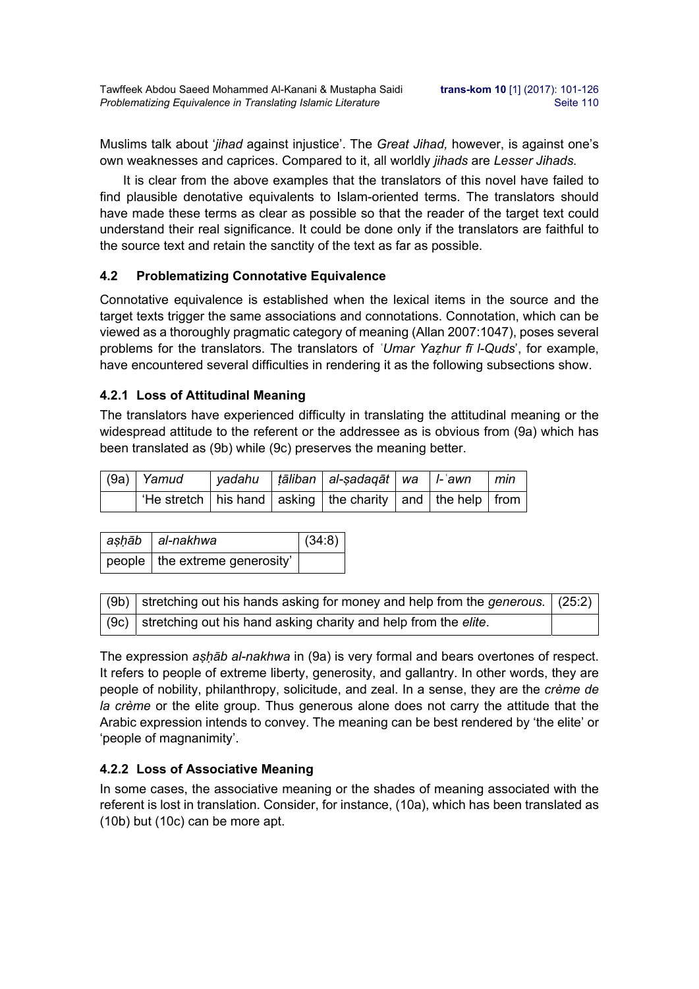Muslims talk about '*jihad* against injustice'. The *Great Jihad,* however, is against one's own weaknesses and caprices. Compared to it, all worldly *jihads* are *Lesser Jihads.* 

It is clear from the above examples that the translators of this novel have failed to find plausible denotative equivalents to Islam-oriented terms. The translators should have made these terms as clear as possible so that the reader of the target text could understand their real significance. It could be done only if the translators are faithful to the source text and retain the sanctity of the text as far as possible.

### **4.2 Problematizing Connotative Equivalence**

Connotative equivalence is established when the lexical items in the source and the target texts trigger the same associations and connotations. Connotation, which can be viewed as a thoroughly pragmatic category of meaning (Allan 2007:1047), poses several problems for the translators. The translators of *ʿUmar Yaẓhur fī l-Quds*', for example, have encountered several difficulties in rendering it as the following subsections show.

### **4.2.1 Loss of Attitudinal Meaning**

The translators have experienced difficulty in translating the attitudinal meaning or the widespread attitude to the referent or the addressee as is obvious from (9a) which has been translated as (9b) while (9c) preserves the meaning better.

| $(9a)$ Yamud                                                                             |  | yadahu   tāliban   al-sadaqāt   wa   I-`awn   min |  |  |
|------------------------------------------------------------------------------------------|--|---------------------------------------------------|--|--|
| 'He stretch   his hand   asking   the charity   and $\sqrt{\frac{1}{1}}$ the help   from |  |                                                   |  |  |

| ashāb al-nakhwa                  | (34:8) |
|----------------------------------|--------|
| people   the extreme generosity' |        |

| $(9b)$   stretching out his hands asking for money and help from the generous. $(25.2)$ |  |
|-----------------------------------------------------------------------------------------|--|
| $(9c)$ stretching out his hand asking charity and help from the elite.                  |  |

The expression *aṣḥāb al-nakhwa* in (9a) is very formal and bears overtones of respect. It refers to people of extreme liberty, generosity, and gallantry. In other words, they are people of nobility, philanthropy, solicitude, and zeal. In a sense, they are the *crème de la crème* or the elite group. Thus generous alone does not carry the attitude that the Arabic expression intends to convey. The meaning can be best rendered by 'the elite' or 'people of magnanimity'.

### **4.2.2 Loss of Associative Meaning**

In some cases, the associative meaning or the shades of meaning associated with the referent is lost in translation. Consider, for instance, (10a), which has been translated as (10b) but (10c) can be more apt.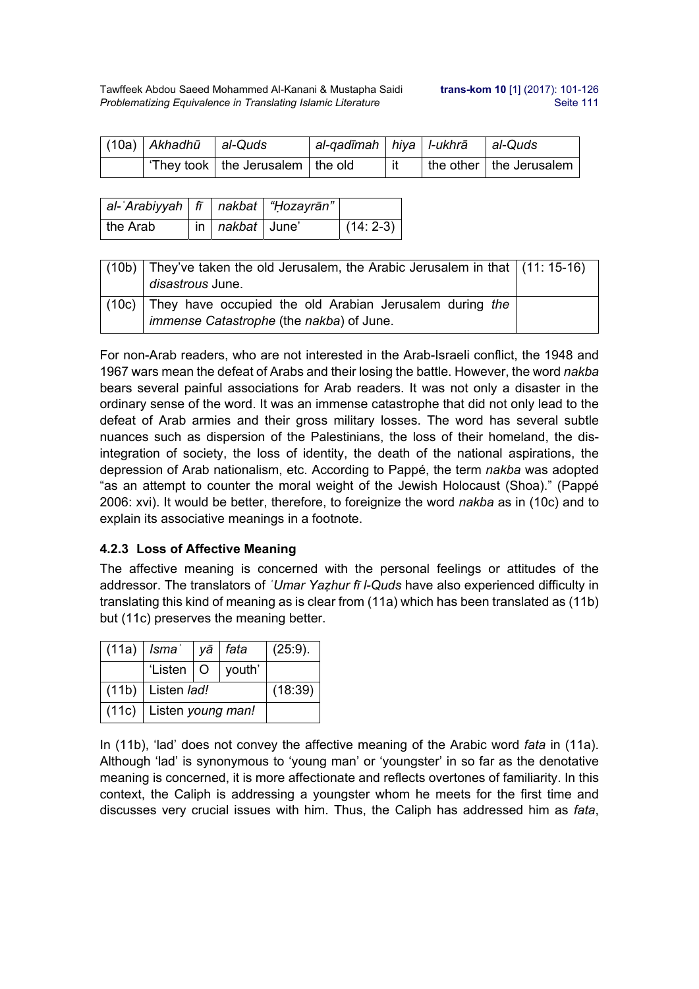Tawffeek Abdou Saeed Mohammed Al-Kanani & Mustapha Saidi **trans-kom 10** [1] (2017): 101-126 **Problematizing Equivalence in Translating Islamic Literature** Sette 111 Seite 111

| $\vert$ (10a) $\vert$ Akhadhū $\vert$ al-Quds |                                      | └al-qadīmah   hiya   I-ukhrā |     | al-Quds                   |
|-----------------------------------------------|--------------------------------------|------------------------------|-----|---------------------------|
|                                               | 'They took   the Jerusalem   the old |                              | -it | the other   the Jerusalem |

| al-ʿArabiyyah   fī   nakbat   "Ḥozayrān" |                     |            |
|------------------------------------------|---------------------|------------|
| the Arab                                 | in   nakbat   June' | $(14:2-3)$ |

| $\vert$ (10b) $\vert$ They've taken the old Jerusalem, the Arabic Jerusalem in that $\vert$ (11: 15-16)<br>disastrous June. |  |
|-----------------------------------------------------------------------------------------------------------------------------|--|
| (10c) They have occupied the old Arabian Jerusalem during the<br><i>immense Catastrophe</i> (the nakba) of June.            |  |

For non-Arab readers, who are not interested in the Arab-Israeli conflict, the 1948 and 1967 wars mean the defeat of Arabs and their losing the battle. However, the word *nakba* bears several painful associations for Arab readers. It was not only a disaster in the ordinary sense of the word. It was an immense catastrophe that did not only lead to the defeat of Arab armies and their gross military losses. The word has several subtle nuances such as dispersion of the Palestinians, the loss of their homeland, the disintegration of society, the loss of identity, the death of the national aspirations, the depression of Arab nationalism, etc. According to Pappé, the term *nakba* was adopted "as an attempt to counter the moral weight of the Jewish Holocaust (Shoa)." (Pappé 2006: xvi). It would be better, therefore, to foreignize the word *nakba* as in (10c) and to explain its associative meanings in a footnote.

### **4.2.3 Loss of Affective Meaning**

The affective meaning is concerned with the personal feelings or attitudes of the addressor. The translators of *ʿUmar Yaẓhur fī l-Quds* have also experienced difficulty in translating this kind of meaning as is clear from (11a) which has been translated as (11b) but (11c) preserves the meaning better.

| $(11a)$   Isma   yā   fata |         | (25:9). |
|----------------------------|---------|---------|
| 'Listen   O   youth'       |         |         |
| (11b) Listen lad!          | (18:39) |         |
| (11c)   Listen young man!  |         |         |

In (11b), 'lad' does not convey the affective meaning of the Arabic word *fata* in (11a). Although 'lad' is synonymous to 'young man' or 'youngster' in so far as the denotative meaning is concerned, it is more affectionate and reflects overtones of familiarity. In this context, the Caliph is addressing a youngster whom he meets for the first time and discusses very crucial issues with him. Thus, the Caliph has addressed him as *fata*,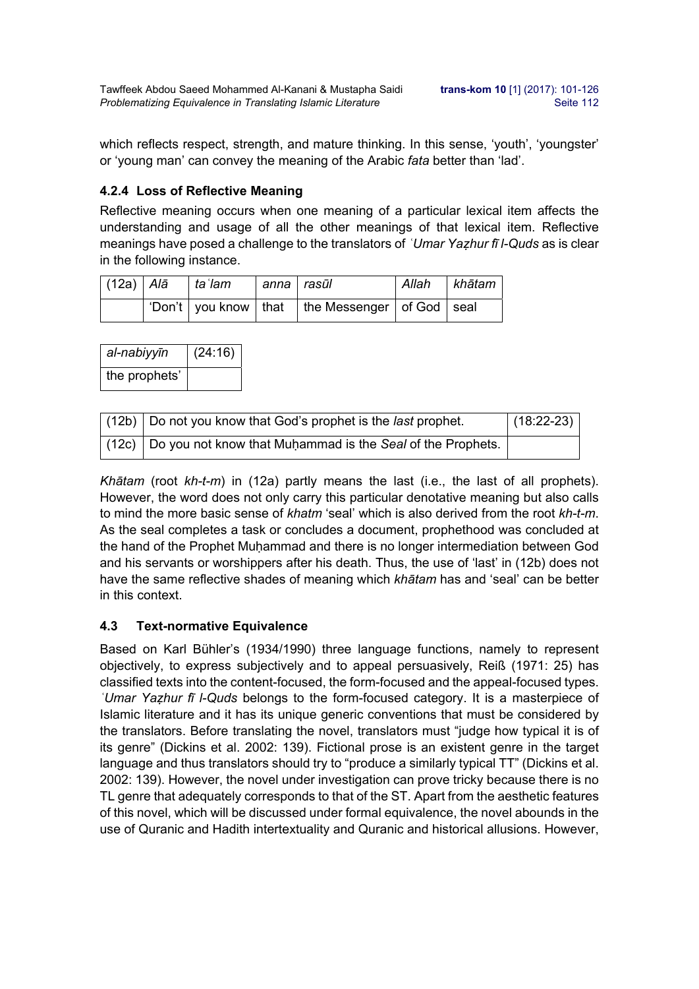which reflects respect, strength, and mature thinking. In this sense, 'youth', 'youngster' or 'young man' can convey the meaning of the Arabic *fata* better than 'lad'.

### **4.2.4 Loss of Reflective Meaning**

Reflective meaning occurs when one meaning of a particular lexical item affects the understanding and usage of all the other meanings of that lexical item. Reflective meanings have posed a challenge to the translators of *ʿUmar Yaẓhur fī l-Quds* as is clear in the following instance.

| (12a)   <i>Alā</i> | taʻlam | anna   rasūl |                                                          | Allah | khātam |
|--------------------|--------|--------------|----------------------------------------------------------|-------|--------|
|                    |        |              | 'Don't   you know   that   the Messenger   of God   seal |       |        |

| al-nabiyyīn   | (24:16) |
|---------------|---------|
| the prophets' |         |

| $(12b)$ Do not you know that God's prophet is the <i>last</i> prophet. | $(18:22-23)$ |
|------------------------------------------------------------------------|--------------|
| $(12c)$ Do you not know that Muhammad is the Seal of the Prophets.     |              |

*Khātam* (root *kh-t-m*) in (12a) partly means the last (i.e., the last of all prophets). However, the word does not only carry this particular denotative meaning but also calls to mind the more basic sense of *khatm* 'seal' which is also derived from the root *kh-t-m*. As the seal completes a task or concludes a document, prophethood was concluded at the hand of the Prophet Muḥammad and there is no longer intermediation between God and his servants or worshippers after his death. Thus, the use of 'last' in (12b) does not have the same reflective shades of meaning which *khātam* has and 'seal' can be better in this context.

### **4.3 Text-normative Equivalence**

Based on Karl Bühler's (1934/1990) three language functions, namely to represent objectively, to express subjectively and to appeal persuasively, Reiß (1971: 25) has classified texts into the content-focused, the form-focused and the appeal-focused types. *ʿUmar Yaẓhur fī l-Quds* belongs to the form-focused category. It is a masterpiece of Islamic literature and it has its unique generic conventions that must be considered by the translators. Before translating the novel, translators must "judge how typical it is of its genre" (Dickins et al. 2002: 139). Fictional prose is an existent genre in the target language and thus translators should try to "produce a similarly typical TT" (Dickins et al. 2002: 139). However, the novel under investigation can prove tricky because there is no TL genre that adequately corresponds to that of the ST. Apart from the aesthetic features of this novel, which will be discussed under formal equivalence, the novel abounds in the use of Quranic and Hadith intertextuality and Quranic and historical allusions. However,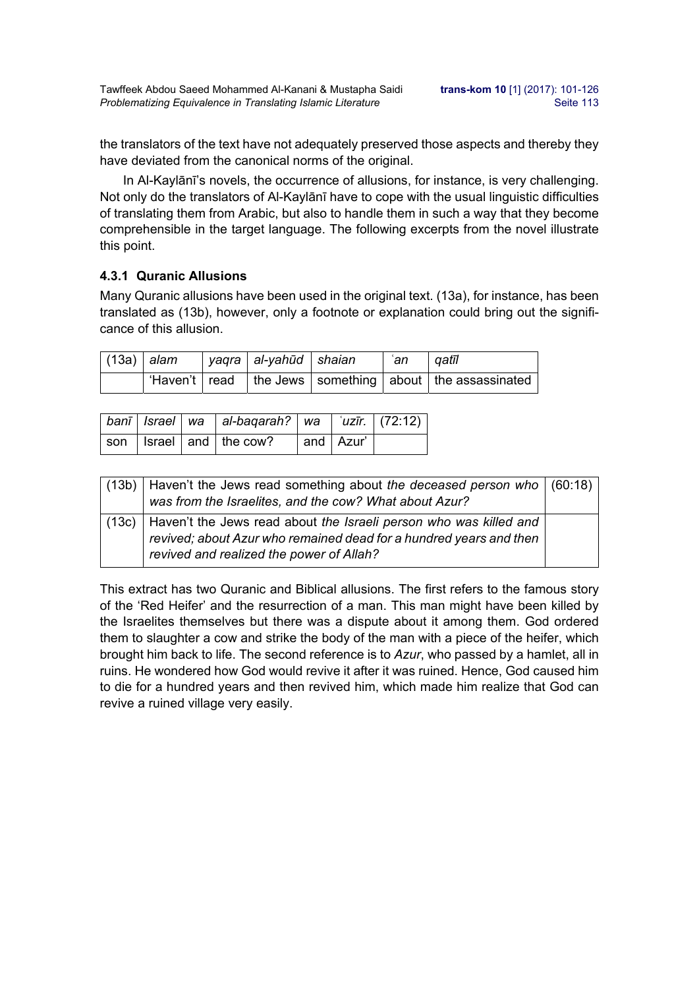the translators of the text have not adequately preserved those aspects and thereby they have deviated from the canonical norms of the original.

In Al-Kaylānī's novels, the occurrence of allusions, for instance, is very challenging. Not only do the translators of Al-Kaylānī have to cope with the usual linguistic difficulties of translating them from Arabic, but also to handle them in such a way that they become comprehensible in the target language. The following excerpts from the novel illustrate this point.

### **4.3.1 Quranic Allusions**

Many Quranic allusions have been used in the original text. (13a), for instance, has been translated as (13b), however, only a footnote or explanation could bring out the significance of this allusion.

|  | (13a)   alam         yaqra   al-yahūd   shaian | ∣ `an | ∣ gatīl                                                           |
|--|------------------------------------------------|-------|-------------------------------------------------------------------|
|  |                                                |       | 'Haven't   read   the Jews   something   about   the assassinated |

|  | banī   Israel   wa   al-baqarah?   wa   ʿuzīr.   (72:12)                          |  |  |
|--|-----------------------------------------------------------------------------------|--|--|
|  | $\vert$ son $\vert$ Israel $\vert$ and $\vert$ the cow? $\vert$ and $\vert$ Azur' |  |  |

| $\vert$ (13b)   Haven't the Jews read something about the deceased person who $\vert$ (60:18) $\vert$                                                                                       |  |
|---------------------------------------------------------------------------------------------------------------------------------------------------------------------------------------------|--|
| was from the Israelites, and the cow? What about Azur?                                                                                                                                      |  |
| (13c)   Haven't the Jews read about the Israeli person who was killed and<br>revived; about Azur who remained dead for a hundred years and then<br>revived and realized the power of Allah? |  |

This extract has two Quranic and Biblical allusions. The first refers to the famous story of the 'Red Heifer' and the resurrection of a man. This man might have been killed by the Israelites themselves but there was a dispute about it among them. God ordered them to slaughter a cow and strike the body of the man with a piece of the heifer, which brought him back to life. The second reference is to *Azur*, who passed by a hamlet, all in ruins. He wondered how God would revive it after it was ruined. Hence, God caused him to die for a hundred years and then revived him, which made him realize that God can revive a ruined village very easily.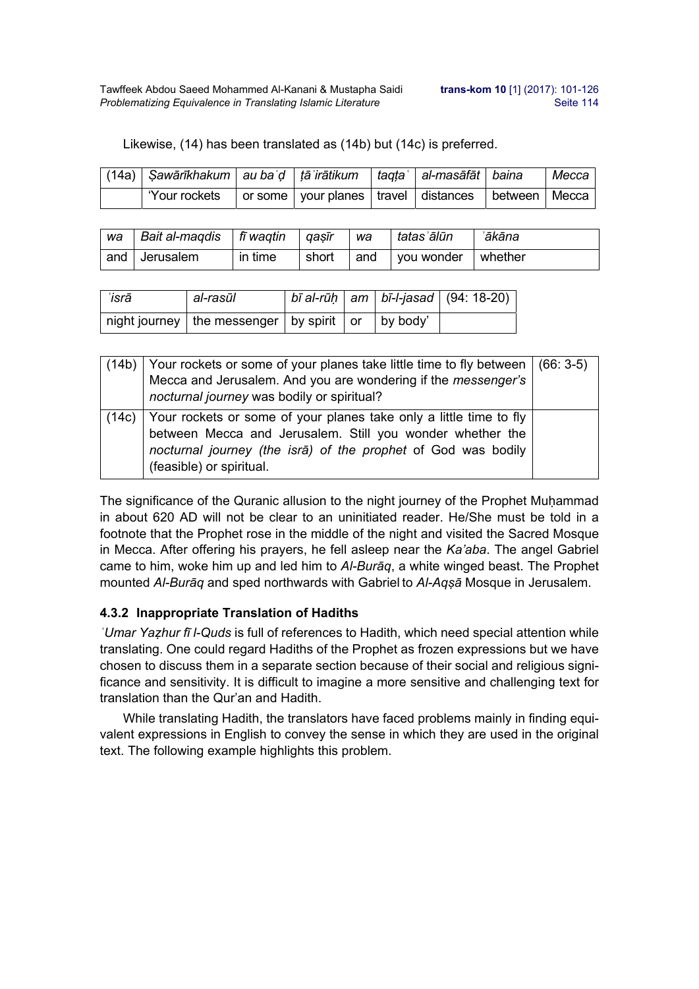Likewise, (14) has been translated as (14b) but (14c) is preferred.

| (14a)   Şawārīkhakum   au baʿḍ   ṭāʾirātikum     taqṭaʿ   al-masāfāt   baina |  |  | Mecca |
|------------------------------------------------------------------------------|--|--|-------|
| 'Your rockets   or some   your planes   travel   distances   between   Mecca |  |  |       |

| wa | Bait al-maqdis   fī waqtin   qaşīr |         | l wa | tatas`ālūn                                                   | ʾākāna |
|----|------------------------------------|---------|------|--------------------------------------------------------------|--------|
|    | and Jerusalem                      | in time |      | $\vert$ short $\vert$ and $\vert$ you wonder $\vert$ whether |        |

| `isrā | al-rasūl                                       |  |          | <sup>∣</sup> bī al-rūḥ   am   bī-l-jasad   (94: 18-20) |
|-------|------------------------------------------------|--|----------|--------------------------------------------------------|
|       | night journey   the messenger   by spirit   or |  | by body' |                                                        |

| $(14b)$ Your rockets or some of your planes take little time to fly between $(66:3-5)$<br>Mecca and Jerusalem. And you are wondering if the messenger's<br>nocturnal journey was bodily or spiritual?                                |  |
|--------------------------------------------------------------------------------------------------------------------------------------------------------------------------------------------------------------------------------------|--|
| (14c)   Your rockets or some of your planes take only a little time to fly<br>between Mecca and Jerusalem. Still you wonder whether the<br>nocturnal journey (the isra) of the prophet of God was bodily<br>(feasible) or spiritual. |  |

The significance of the Quranic allusion to the night journey of the Prophet Muhammad in about 620 AD will not be clear to an uninitiated reader. He/She must be told in a footnote that the Prophet rose in the middle of the night and visited the Sacred Mosque in Mecca. After offering his prayers, he fell asleep near the *Ka'aba*. The angel Gabriel came to him, woke him up and led him to *Al-Burāq*, a white winged beast. The Prophet mounted *Al-Burāq* and sped northwards with Gabriel to *Al-Aqṣā* Mosque in Jerusalem.

### **4.3.2 Inappropriate Translation of Hadiths**

*ʿUmar Yaẓhur fī l-Quds* is full of references to Hadith, which need special attention while translating. One could regard Hadiths of the Prophet as frozen expressions but we have chosen to discuss them in a separate section because of their social and religious significance and sensitivity. It is difficult to imagine a more sensitive and challenging text for translation than the Qur'an and Hadith.

While translating Hadith, the translators have faced problems mainly in finding equivalent expressions in English to convey the sense in which they are used in the original text. The following example highlights this problem.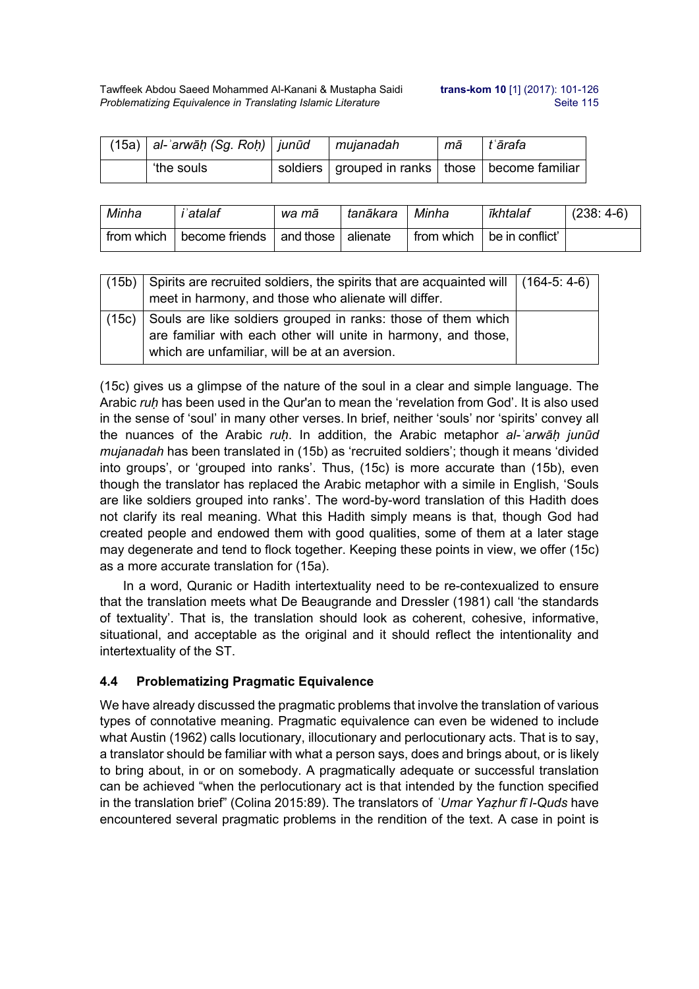Tawffeek Abdou Saeed Mohammed Al-Kanani & Mustapha Saidi **trans-kom 10** [1] (2017): 101-126 **Problematizing Equivalence in Translating Islamic Literature** Sette 115

| $(15a)$   al-'arwāḥ (Sg. Roḥ)   junūd | mujanadah                                               | mā | t'ārafa |
|---------------------------------------|---------------------------------------------------------|----|---------|
| the souls <sup>*</sup>                | ' soldiers   grouped in ranks   those   become familiar |    |         |

| Minha      | ``atalaf       | wa mā     | tanākara | Minha      | <b>Tkhtalaf</b>  | $(238: 4-6)$ |
|------------|----------------|-----------|----------|------------|------------------|--------------|
| from which | become friends | and those | alienate | from which | be in conflict'. |              |

| $\mid$ (15b) $\mid$ Spirits are recruited soldiers, the spirits that are acquainted will $\mid$ (164-5: 4-6) $\mid$<br>meet in harmony, and those who alienate will differ.            |  |
|----------------------------------------------------------------------------------------------------------------------------------------------------------------------------------------|--|
| (15c) Souls are like soldiers grouped in ranks: those of them which<br>are familiar with each other will unite in harmony, and those,<br>which are unfamiliar, will be at an aversion. |  |

(15c) gives us a glimpse of the nature of the soul in a clear and simple language. The Arabic *ruḥ* has been used in the Qur'an to mean the 'revelation from God'. It is also used in the sense of 'soul' in many other verses. In brief, neither 'souls' nor 'spirits' convey all the nuances of the Arabic *ruḥ*. In addition, the Arabic metaphor *al-ʾarwāḥ junūd mujanadah* has been translated in (15b) as 'recruited soldiers'; though it means 'divided into groups', or 'grouped into ranks'. Thus, (15c) is more accurate than (15b), even though the translator has replaced the Arabic metaphor with a simile in English, 'Souls are like soldiers grouped into ranks'. The word-by-word translation of this Hadith does not clarify its real meaning. What this Hadith simply means is that, though God had created people and endowed them with good qualities, some of them at a later stage may degenerate and tend to flock together. Keeping these points in view, we offer (15c) as a more accurate translation for (15a).

In a word, Quranic or Hadith intertextuality need to be re-contexualized to ensure that the translation meets what De Beaugrande and Dressler (1981) call 'the standards of textuality'. That is, the translation should look as coherent, cohesive, informative, situational, and acceptable as the original and it should reflect the intentionality and intertextuality of the ST.

### **4.4 Problematizing Pragmatic Equivalence**

We have already discussed the pragmatic problems that involve the translation of various types of connotative meaning. Pragmatic equivalence can even be widened to include what Austin (1962) calls locutionary, illocutionary and perlocutionary acts. That is to say, a translator should be familiar with what a person says, does and brings about, or is likely to bring about, in or on somebody. A pragmatically adequate or successful translation can be achieved "when the perlocutionary act is that intended by the function specified in the translation brief" (Colina 2015:89). The translators of *ʿUmar Yaẓhur fī l-Quds* have encountered several pragmatic problems in the rendition of the text. A case in point is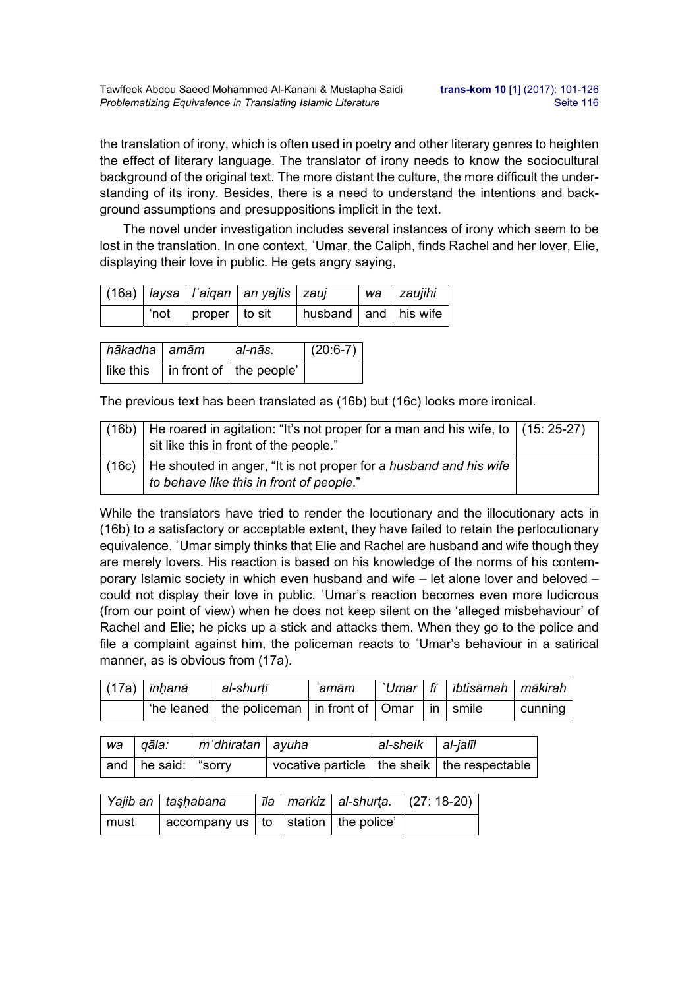the translation of irony, which is often used in poetry and other literary genres to heighten the effect of literary language. The translator of irony needs to know the sociocultural background of the original text. The more distant the culture, the more difficult the understanding of its irony. Besides, there is a need to understand the intentions and background assumptions and presuppositions implicit in the text.

The novel under investigation includes several instances of irony which seem to be lost in the translation. In one context, ʿUmar, the Caliph, finds Rachel and her lover, Elie, displaying their love in public. He gets angry saying,

|  |                           | (16a)   laysa   Iʾaiqan   an yajlis   zauj |                      | wa   zaujihi |
|--|---------------------------|--------------------------------------------|----------------------|--------------|
|  | $'$ not   proper   to sit |                                            | husband and his wife |              |

| hākadha   amām | al-nās.                                   | $(20:6-7)$ |
|----------------|-------------------------------------------|------------|
|                | like this $ $ in front of $ $ the people' |            |

The previous text has been translated as (16b) but (16c) looks more ironical.

| $\mid$ (16b) $\mid$ He roared in agitation: "It's not proper for a man and his wife, to $\mid$ (15: 25-27)<br>sit like this in front of the people." |  |
|------------------------------------------------------------------------------------------------------------------------------------------------------|--|
| (16c)   He shouted in anger, "It is not proper for a husband and his wife<br>to behave like this in front of people."                                |  |

While the translators have tried to render the locutionary and the illocutionary acts in (16b) to a satisfactory or acceptable extent, they have failed to retain the perlocutionary equivalence. ʿUmar simply thinks that Elie and Rachel are husband and wife though they are merely lovers. His reaction is based on his knowledge of the norms of his contemporary Islamic society in which even husband and wife – let alone lover and beloved – could not display their love in public. ʿUmar's reaction becomes even more ludicrous (from our point of view) when he does not keep silent on the 'alleged misbehaviour' of Rachel and Elie; he picks up a stick and attacks them. When they go to the police and file a complaint against him, the policeman reacts to ʿUmar's behaviour in a satirical manner, as is obvious from (17a).

| $(17a)$ <i>inhana</i> | al-shurtī                                                                | `amām |  | `Umar   fī   ībtisāmah   mākirah |         |
|-----------------------|--------------------------------------------------------------------------|-------|--|----------------------------------|---------|
|                       | 'he leaned   the policeman   in front of $\vert$ Omar   in $\vert$ smile |       |  |                                  | cunning |

| wa gāla:           | m'dhiratan   ayuha |                                                                             | al-sheik   al-jalīl |  |
|--------------------|--------------------|-----------------------------------------------------------------------------|---------------------|--|
| and he said: sorry |                    | $\vert$ vocative particle $\vert$ the sheik $\vert$ the respectable $\vert$ |                     |  |

|        | Yajib an   taşhabana                                                          |  | īla   markiz   al-shurţa.    (27: 18-20) |
|--------|-------------------------------------------------------------------------------|--|------------------------------------------|
| l must | $\frac{1}{2}$ accompany us $\mid$ to $\mid$ station $\mid$ the police' $\mid$ |  |                                          |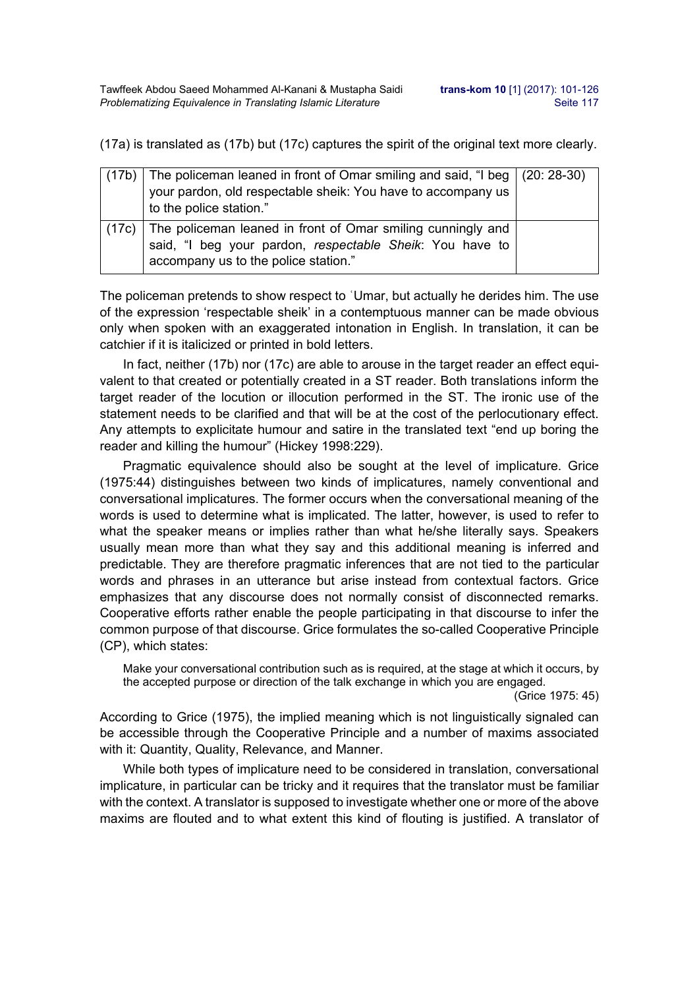(17a) is translated as (17b) but (17c) captures the spirit of the original text more clearly.

| $(17b)$   The policeman leaned in front of Omar smiling and said, "I beg   (20: 28-30)<br>your pardon, old respectable sheik: You have to accompany us<br>to the police station." |  |
|-----------------------------------------------------------------------------------------------------------------------------------------------------------------------------------|--|
| (17c) The policeman leaned in front of Omar smiling cunningly and<br>said, "I beg your pardon, respectable Sheik: You have to<br>accompany us to the police station."             |  |

The policeman pretends to show respect to ʿUmar, but actually he derides him. The use of the expression 'respectable sheik' in a contemptuous manner can be made obvious only when spoken with an exaggerated intonation in English. In translation, it can be catchier if it is italicized or printed in bold letters.

In fact, neither (17b) nor (17c) are able to arouse in the target reader an effect equivalent to that created or potentially created in a ST reader. Both translations inform the target reader of the locution or illocution performed in the ST. The ironic use of the statement needs to be clarified and that will be at the cost of the perlocutionary effect. Any attempts to explicitate humour and satire in the translated text "end up boring the reader and killing the humour" (Hickey 1998:229).

Pragmatic equivalence should also be sought at the level of implicature. Grice (1975:44) distinguishes between two kinds of implicatures, namely conventional and conversational implicatures. The former occurs when the conversational meaning of the words is used to determine what is implicated. The latter, however, is used to refer to what the speaker means or implies rather than what he/she literally says. Speakers usually mean more than what they say and this additional meaning is inferred and predictable. They are therefore pragmatic inferences that are not tied to the particular words and phrases in an utterance but arise instead from contextual factors. Grice emphasizes that any discourse does not normally consist of disconnected remarks. Cooperative efforts rather enable the people participating in that discourse to infer the common purpose of that discourse. Grice formulates the so-called Cooperative Principle (CP), which states:

Make your conversational contribution such as is required, at the stage at which it occurs, by the accepted purpose or direction of the talk exchange in which you are engaged.

(Grice 1975: 45)

According to Grice (1975), the implied meaning which is not linguistically signaled can be accessible through the Cooperative Principle and a number of maxims associated with it: Quantity, Quality, Relevance, and Manner.

While both types of implicature need to be considered in translation, conversational implicature, in particular can be tricky and it requires that the translator must be familiar with the context. A translator is supposed to investigate whether one or more of the above maxims are flouted and to what extent this kind of flouting is justified. A translator of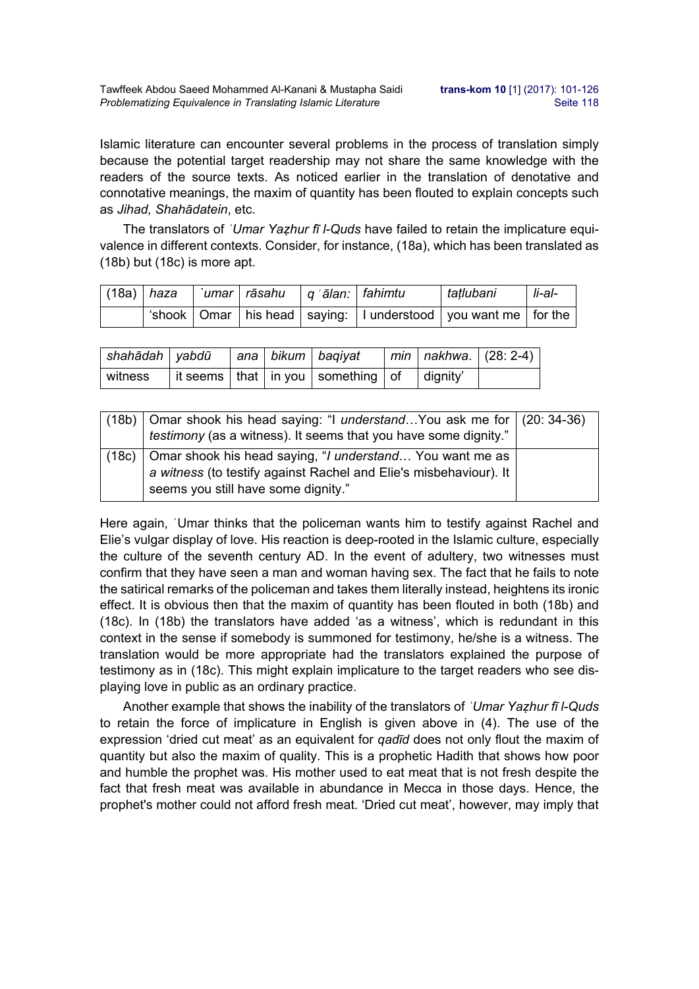Islamic literature can encounter several problems in the process of translation simply because the potential target readership may not share the same knowledge with the readers of the source texts. As noticed earlier in the translation of denotative and connotative meanings, the maxim of quantity has been flouted to explain concepts such as *Jihad, Shahādatein*, etc.

The translators of *ʿUmar Yaẓhur fī l-Quds* have failed to retain the implicature equivalence in different contexts. Consider, for instance, (18a), which has been translated as (18b) but (18c) is more apt.

|  | (18a)   haza     `umar   rāsahu     q ʾālan:   fahimtu |  | tatlubani                                                                  | li-al- |
|--|--------------------------------------------------------|--|----------------------------------------------------------------------------|--------|
|  |                                                        |  | ,'shook   Omar   his head   saying:   I understood   you want me   for the |        |

| shahādah   yabdū |  | ana   bikum   baqiyat                                            |  | min   nakhwa. $(28: 2-4)$ |
|------------------|--|------------------------------------------------------------------|--|---------------------------|
| l witness        |  | it seems   that   in you   something $\vert$ of $\vert$ dignity' |  |                           |

| $\mid$ (18b) $\mid$ Omar shook his head saying: "I <i>understand</i> You ask me for $\mid$ (20: 34-36)<br>testimony (as a witness). It seems that you have some dignity."              |  |
|----------------------------------------------------------------------------------------------------------------------------------------------------------------------------------------|--|
| $(18c)$   Omar shook his head saying, " <i>I understand</i> You want me as<br>a witness (to testify against Rachel and Elie's misbehaviour). It<br>seems you still have some dignity." |  |

Here again, ʿUmar thinks that the policeman wants him to testify against Rachel and Elie's vulgar display of love. His reaction is deep-rooted in the Islamic culture, especially the culture of the seventh century AD. In the event of adultery, two witnesses must confirm that they have seen a man and woman having sex. The fact that he fails to note the satirical remarks of the policeman and takes them literally instead, heightens its ironic effect. It is obvious then that the maxim of quantity has been flouted in both (18b) and (18c). In (18b) the translators have added 'as a witness', which is redundant in this context in the sense if somebody is summoned for testimony, he/she is a witness. The translation would be more appropriate had the translators explained the purpose of testimony as in (18c). This might explain implicature to the target readers who see displaying love in public as an ordinary practice.

Another example that shows the inability of the translators of *ʿUmar Yaẓhur fī l-Quds* to retain the force of implicature in English is given above in (4). The use of the expression 'dried cut meat' as an equivalent for *qadīd* does not only flout the maxim of quantity but also the maxim of quality. This is a prophetic Hadith that shows how poor and humble the prophet was. His mother used to eat meat that is not fresh despite the fact that fresh meat was available in abundance in Mecca in those days. Hence, the prophet's mother could not afford fresh meat. 'Dried cut meat', however, may imply that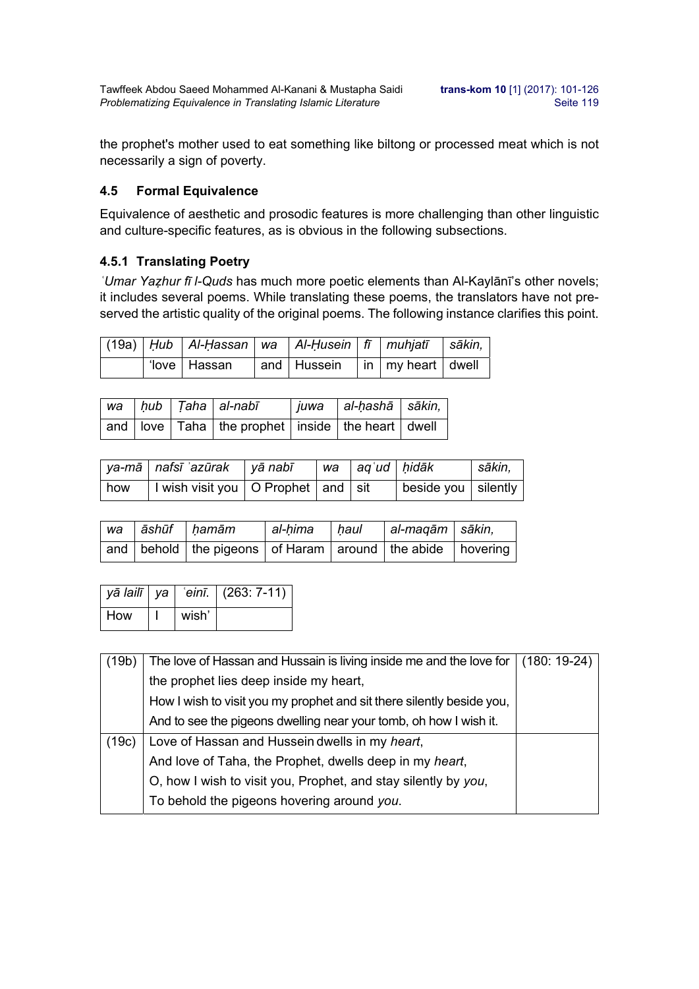the prophet's mother used to eat something like biltong or processed meat which is not necessarily a sign of poverty.

### **4.5 Formal Equivalence**

Equivalence of aesthetic and prosodic features is more challenging than other linguistic and culture-specific features, as is obvious in the following subsections.

### **4.5.1 Translating Poetry**

*ʿUmar Yaẓhur fī l-Quds* has much more poetic elements than Al-Kaylānī's other novels; it includes several poems. While translating these poems, the translators have not preserved the artistic quality of the original poems. The following instance clarifies this point.

|  | (19a)   Hub   Al-Ḥassan   wa    Al-Ḥusein   fī   muhjatī    sākin, |             |                           |  |
|--|--------------------------------------------------------------------|-------------|---------------------------|--|
|  | 'love   Hassan                                                     | and Hussein | □ │ in │ my heart │ dwell |  |

|  | wa     ḥub    Ṭaha   al-nabī                                 | juwa   al-hashā   sākin, |  |
|--|--------------------------------------------------------------|--------------------------|--|
|  | and   love   Taha   the prophet   inside   the heart   dwell |                          |  |

|       | ya-mā   nafsī ʾazūrak     yā nabī          |  | wa   agʻud   hidāk |                       | sākin. |
|-------|--------------------------------------------|--|--------------------|-----------------------|--------|
| l how | I I wish visit you   O Prophet   and   sit |  |                    | beside you   silently |        |

| wa | āshūf   hamām                                                         | al-hima | ∣ haul | al-maqām   sākin, |  |
|----|-----------------------------------------------------------------------|---------|--------|-------------------|--|
|    | and   behold   the pigeons   of Haram   around   the abide   hovering |         |        |                   |  |

| yā lailī   ya |       | $\text{'ein}$ [ (263: 7-11) |
|---------------|-------|-----------------------------|
| How           | wish' |                             |

| (19b) | The love of Hassan and Hussain is living inside me and the love for $\vert$ (180: 19-24) |  |
|-------|------------------------------------------------------------------------------------------|--|
|       | the prophet lies deep inside my heart,                                                   |  |
|       | How I wish to visit you my prophet and sit there silently beside you,                    |  |
|       | And to see the pigeons dwelling near your tomb, oh how I wish it.                        |  |
| (19c) | Love of Hassan and Hussein dwells in my heart,                                           |  |
|       | And love of Taha, the Prophet, dwells deep in my heart,                                  |  |
|       | O, how I wish to visit you, Prophet, and stay silently by you,                           |  |
|       | To behold the pigeons hovering around you.                                               |  |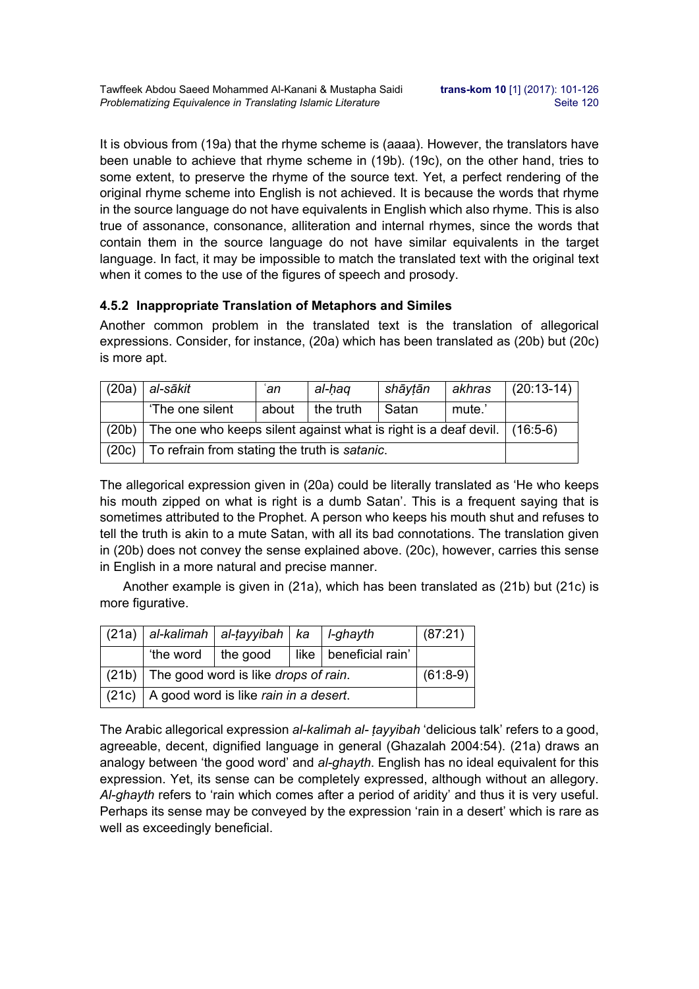It is obvious from (19a) that the rhyme scheme is (aaaa). However, the translators have been unable to achieve that rhyme scheme in (19b). (19c), on the other hand, tries to some extent, to preserve the rhyme of the source text. Yet, a perfect rendering of the original rhyme scheme into English is not achieved. It is because the words that rhyme in the source language do not have equivalents in English which also rhyme. This is also true of assonance, consonance, alliteration and internal rhymes, since the words that contain them in the source language do not have similar equivalents in the target language. In fact, it may be impossible to match the translated text with the original text when it comes to the use of the figures of speech and prosody.

### **4.5.2 Inappropriate Translation of Metaphors and Similes**

Another common problem in the translated text is the translation of allegorical expressions. Consider, for instance, (20a) which has been translated as (20b) but (20c) is more apt.

| (20a) | al-sākit                                                                           | `an   | al-haq      | shāyṭān | akhras | $(20:13-14)$ |
|-------|------------------------------------------------------------------------------------|-------|-------------|---------|--------|--------------|
|       | 'The one silent                                                                    | about | I the truth | ∣ Satan | mute.' |              |
|       | $(20b)$ The one who keeps silent against what is right is a deaf devil. $(16.5-6)$ |       |             |         |        |              |
| (20c) | To refrain from stating the truth is satanic.                                      |       |             |         |        |              |

The allegorical expression given in (20a) could be literally translated as 'He who keeps his mouth zipped on what is right is a dumb Satan'. This is a frequent saying that is sometimes attributed to the Prophet. A person who keeps his mouth shut and refuses to tell the truth is akin to a mute Satan, with all its bad connotations. The translation given in (20b) does not convey the sense explained above. (20c), however, carries this sense in English in a more natural and precise manner.

Another example is given in (21a), which has been translated as (21b) but (21c) is more figurative.

|                                              | $(21a)$ al-kalimah al-tayyibah ka   l-ghayth    |                                                | (87:21) |
|----------------------------------------------|-------------------------------------------------|------------------------------------------------|---------|
|                                              |                                                 | 'the word   the good   like   beneficial rain' |         |
| $(21b)$ The good word is like drops of rain. | $(61:8-9)$                                      |                                                |         |
|                                              | $(21c)$   A good word is like rain in a desert. |                                                |         |

The Arabic allegorical expression *al-kalimah al- ṭayyibah* 'delicious talk' refers to a good, agreeable, decent, dignified language in general (Ghazalah 2004:54). (21a) draws an analogy between 'the good word' and *al-ghayth*. English has no ideal equivalent for this expression. Yet, its sense can be completely expressed, although without an allegory. *Al-ghayth* refers to 'rain which comes after a period of aridity' and thus it is very useful. Perhaps its sense may be conveyed by the expression 'rain in a desert' which is rare as well as exceedingly beneficial.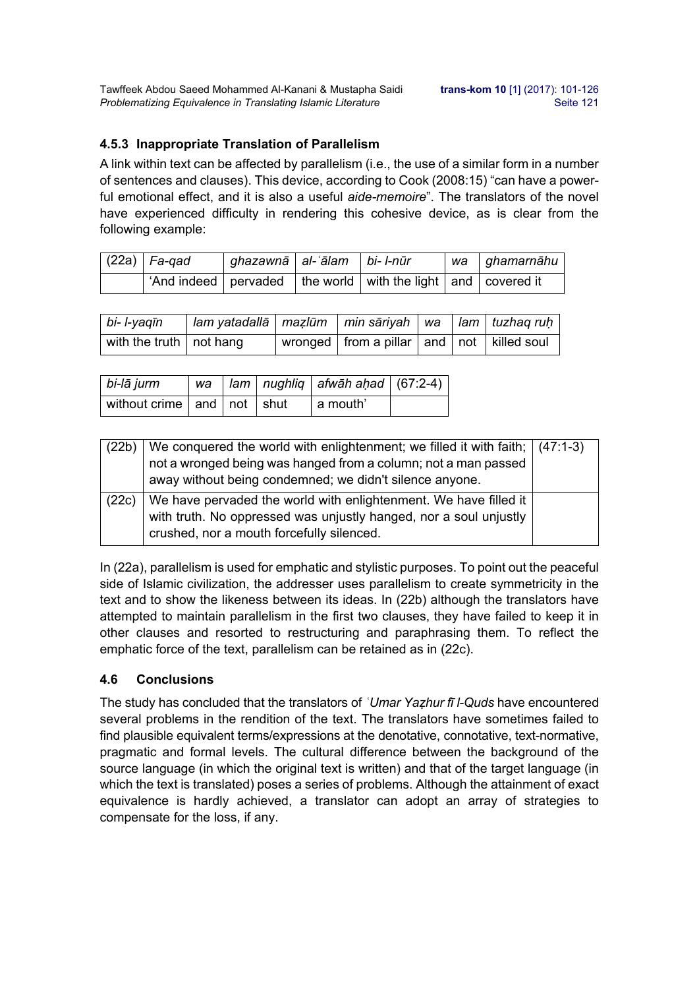### **4.5.3 Inappropriate Translation of Parallelism**

A link within text can be affected by parallelism (i.e., the use of a similar form in a number of sentences and clauses). This device, according to Cook (2008:15) "can have a powerful emotional effect, and it is also a useful *aide-memoire*". The translators of the novel have experienced difficulty in rendering this cohesive device, as is clear from the following example:

| $ (22a) $ Fa-gad | ghazawnā   al-`ālam   bi- l-nūr |                                                                                                      | wa ghamarnāhu |
|------------------|---------------------------------|------------------------------------------------------------------------------------------------------|---------------|
|                  |                                 | 'And indeed $\vert$ pervaded $\vert$ the world $\vert$ with the light $\vert$ and $\vert$ covered it |               |

| bi- I-yaqīn                 | lam yatadallā   mazlūm   min sāriyah   wa   lam   tuzhaq ruḥ |                                                           |  |  |
|-----------------------------|--------------------------------------------------------------|-----------------------------------------------------------|--|--|
| with the truth $ $ not hang |                                                              | $\vert$ wronged   from a pillar   and   not   killed soul |  |  |

| bi-lā jurm                             |  | wa   lam   nughliq   afwāh aḥad   (67:2-4) |  |
|----------------------------------------|--|--------------------------------------------|--|
| without crime $ $ and $ $ not $ $ shut |  | I a mouth'                                 |  |

| (22b) | We conquered the world with enlightenment; we filled it with faith; $(47:1-3)$<br>not a wronged being was hanged from a column; not a man passed<br>away without being condemned; we didn't silence anyone. |  |
|-------|-------------------------------------------------------------------------------------------------------------------------------------------------------------------------------------------------------------|--|
| (22c) | We have pervaded the world with enlightenment. We have filled it<br>with truth. No oppressed was unjustly hanged, nor a soul unjustly<br>crushed, nor a mouth forcefully silenced.                          |  |

In (22a), parallelism is used for emphatic and stylistic purposes. To point out the peaceful side of Islamic civilization, the addresser uses parallelism to create symmetricity in the text and to show the likeness between its ideas. In (22b) although the translators have attempted to maintain parallelism in the first two clauses, they have failed to keep it in other clauses and resorted to restructuring and paraphrasing them. To reflect the emphatic force of the text, parallelism can be retained as in (22c).

### **4.6 Conclusions**

The study has concluded that the translators of *ʿUmar Yaẓhur fī l-Quds* have encountered several problems in the rendition of the text. The translators have sometimes failed to find plausible equivalent terms/expressions at the denotative, connotative, text-normative, pragmatic and formal levels. The cultural difference between the background of the source language (in which the original text is written) and that of the target language (in which the text is translated) poses a series of problems. Although the attainment of exact equivalence is hardly achieved, a translator can adopt an array of strategies to compensate for the loss, if any.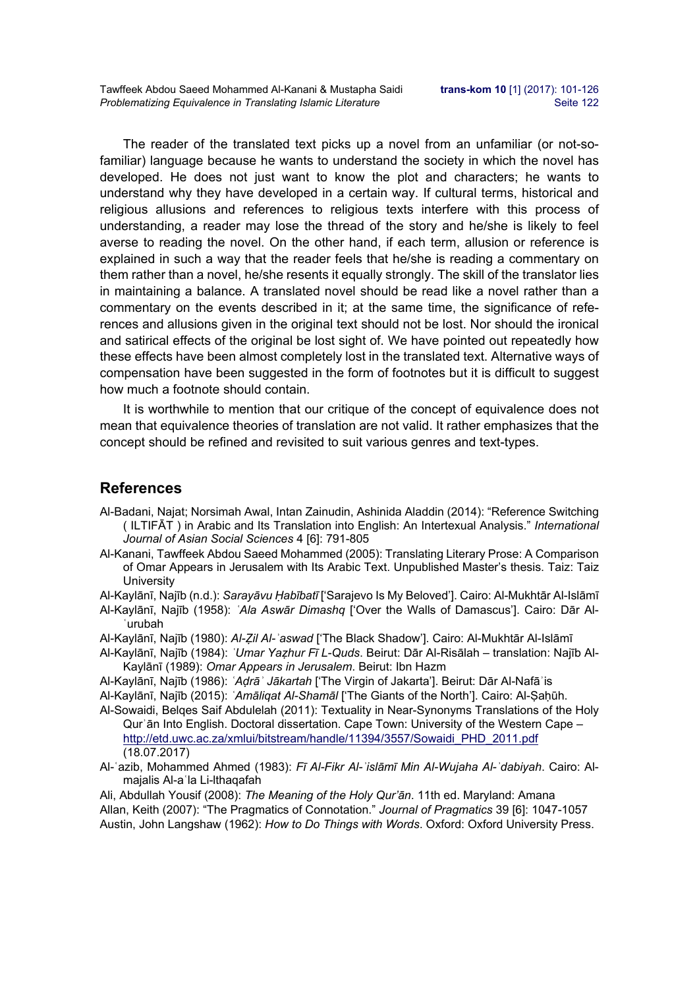The reader of the translated text picks up a novel from an unfamiliar (or not-sofamiliar) language because he wants to understand the society in which the novel has developed. He does not just want to know the plot and characters; he wants to understand why they have developed in a certain way. If cultural terms, historical and religious allusions and references to religious texts interfere with this process of understanding, a reader may lose the thread of the story and he/she is likely to feel averse to reading the novel. On the other hand, if each term, allusion or reference is explained in such a way that the reader feels that he/she is reading a commentary on them rather than a novel, he/she resents it equally strongly. The skill of the translator lies in maintaining a balance. A translated novel should be read like a novel rather than a commentary on the events described in it; at the same time, the significance of references and allusions given in the original text should not be lost. Nor should the ironical and satirical effects of the original be lost sight of. We have pointed out repeatedly how these effects have been almost completely lost in the translated text. Alternative ways of compensation have been suggested in the form of footnotes but it is difficult to suggest how much a footnote should contain.

It is worthwhile to mention that our critique of the concept of equivalence does not mean that equivalence theories of translation are not valid. It rather emphasizes that the concept should be refined and revisited to suit various genres and text-types.

### **References**

- Al-Badani, Najat; Norsimah Awal, Intan Zainudin, Ashinida Aladdin (2014): "Reference Switching ( ILTIFĀT ) in Arabic and Its Translation into English: An Intertexual Analysis." *International Journal of Asian Social Sciences* 4 [6]: 791-805
- Al-Kanani, Tawffeek Abdou Saeed Mohammed (2005): Translating Literary Prose: A Comparison of Omar Appears in Jerusalem with Its Arabic Text. Unpublished Master's thesis. Taiz: Taiz **University**
- Al-Kaylānī, Najīb (n.d.): *Sarayāvu Ḥabībatī* ['Sarajevo Is My Beloved']. Cairo: Al-Mukhtār Al-Islāmī

Al-Kaylānī, Najīb (1958): *ʿAla Aswār Dimashq* ['Over the Walls of Damascus']. Cairo: Dār Al-ʿurubah

- Al-Kaylānī, Najīb (1980): *Al-Ẓil Al-ʾaswad* ['The Black Shadow']. Cairo: Al-Mukhtār Al-Islāmī
- Al-Kaylānī, Najīb (1984): *ʿUmar Yaẓhur Fī L-Quds*. Beirut: Dār Al-Risālah translation: Najīb Al-Kaylānī (1989): *Omar Appears in Jerusalem*. Beirut: Ibn Hazm
- Al-Kaylānī, Najīb (1986): *ʿAḍrāʾ Jākartah* ['The Virgin of Jakarta']. Beirut: Dār Al-Nafāʾis
- Al-Kaylānī, Najīb (2015): *ʿAmāliqat Al-Shamāl* ['The Giants of the North']. Cairo: Al-Ṣahụ̄h.
- Al-Sowaidi, Belqes Saif Abdulelah (2011): Textuality in Near-Synonyms Translations of the Holy Qurʾān Into English. Doctoral dissertation. Cape Town: University of the Western Cape – http://etd.uwc.ac.za/xmlui/bitstream/handle/11394/3557/Sowaidi\_PHD\_2011.pdf (18.07.2017)
- Al-ʿazib, Mohammed Ahmed (1983): *Fī Al-Fikr Al-ʾislāmī Min Al-Wujaha Al-ʾdabiyah*. Cairo: Almajalis Al-aʿla Li-lthaqafah

Ali, Abdullah Yousif (2008): *The Meaning of the Holy Qur'ān*. 11th ed. Maryland: Amana Allan, Keith (2007): "The Pragmatics of Connotation." *Journal of Pragmatics* 39 [6]: 1047-1057 Austin, John Langshaw (1962): *How to Do Things with Words*. Oxford: Oxford University Press.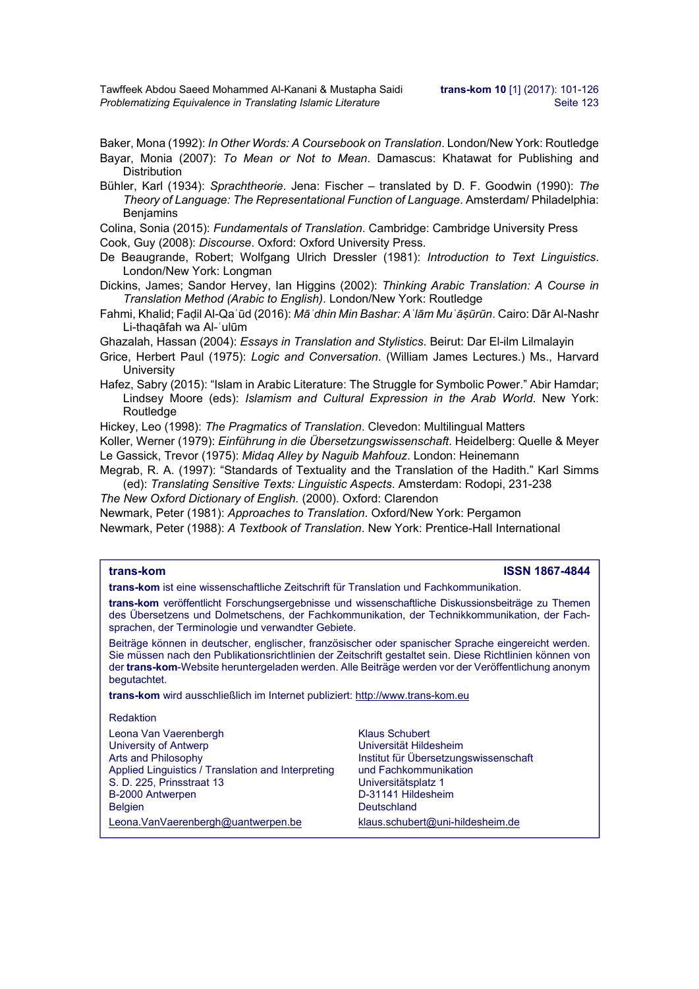Tawffeek Abdou Saeed Mohammed Al-Kanani & Mustapha Saidi **trans-kom 10** [1] (2017): 101-126 **Problematizing Equivalence in Translating Islamic Literature** Sette 123

Baker, Mona (1992): *In Other Words: A Coursebook on Translation*. London/New York: Routledge Bayar, Monia (2007): *To Mean or Not to Mean*. Damascus: Khatawat for Publishing and **Distribution** 

Bühler, Karl (1934): *Sprachtheorie*. Jena: Fischer – translated by D. F. Goodwin (1990): *The Theory of Language: The Representational Function of Language*. Amsterdam/ Philadelphia: **Benjamins** 

Colina, Sonia (2015): *Fundamentals of Translation*. Cambridge: Cambridge University Press

Cook, Guy (2008): *Discourse*. Oxford: Oxford University Press.

De Beaugrande, Robert; Wolfgang Ulrich Dressler (1981): *Introduction to Text Linguistics*. London/New York: Longman

Dickins, James; Sandor Hervey, Ian Higgins (2002): *Thinking Arabic Translation: A Course in Translation Method (Arabic to English)*. London/New York: Routledge

Fahmi, Khalid; Faḍil Al-Qaʿūd (2016): *Māʾdhin Min Bashar: Aʿlām Muʿāṣūrūn*. Cairo: Dār Al-Nashr Li-thaqāfah wa Al-ʿulūm

Ghazalah, Hassan (2004): *Essays in Translation and Stylistics*. Beirut: Dar El-ilm Lilmalayin

Grice, Herbert Paul (1975): *Logic and Conversation*. (William James Lectures.) Ms., Harvard **University** 

Hafez, Sabry (2015): "Islam in Arabic Literature: The Struggle for Symbolic Power." Abir Hamdar; Lindsey Moore (eds): *Islamism and Cultural Expression in the Arab World*. New York: Routledge

Hickey, Leo (1998): *The Pragmatics of Translation*. Clevedon: Multilingual Matters

Koller, Werner (1979): *Einführung in die Übersetzungswissenschaft*. Heidelberg: Quelle & Meyer Le Gassick, Trevor (1975): *Midaq Alley by Naguib Mahfouz*. London: Heinemann

Megrab, R. A. (1997): "Standards of Textuality and the Translation of the Hadith." Karl Simms (ed): *Translating Sensitive Texts: Linguistic Aspects*. Amsterdam: Rodopi, 231-238

*The New Oxford Dictionary of English.* (2000). Oxford: Clarendon

Newmark, Peter (1981): *Approaches to Translation*. Oxford/New York: Pergamon Newmark, Peter (1988): *A Textbook of Translation*. New York: Prentice-Hall International

### **trans-kom ISSN 1867-4844**

**trans-kom** ist eine wissenschaftliche Zeitschrift für Translation und Fachkommunikation.

**trans-kom** veröffentlicht Forschungsergebnisse und wissenschaftliche Diskussionsbeiträge zu Themen des Übersetzens und Dolmetschens, der Fachkommunikation, der Technikkommunikation, der Fachsprachen, der Terminologie und verwandter Gebiete.

Beiträge können in deutscher, englischer, französischer oder spanischer Sprache eingereicht werden. Sie müssen nach den Publikationsrichtlinien der Zeitschrift gestaltet sein. Diese Richtlinien können von der **trans-kom**-Website heruntergeladen werden. Alle Beiträge werden vor der Veröffentlichung anonym begutachtet.

**trans-kom** wird ausschließlich im Internet publiziert: http://www.trans-kom.eu

### Redaktion

| Leona Van Vaerenbergh                              |  |
|----------------------------------------------------|--|
| University of Antwerp                              |  |
| <b>Arts and Philosophy</b>                         |  |
| Applied Linguistics / Translation and Interpreting |  |
| S. D. 225. Prinsstraat 13                          |  |
| B-2000 Antwerpen                                   |  |
| <b>Belgien</b>                                     |  |
| Leona VanVaerenbergh@uantwerpen.be                 |  |

Klaus Schubert Universität Hildesheim Institut für Übersetzungswissenschaft und Fachkommunikation Universitätsplatz 1 D-31141 Hildesheim Deutschland klaus.schubert@uni-hildesheim.de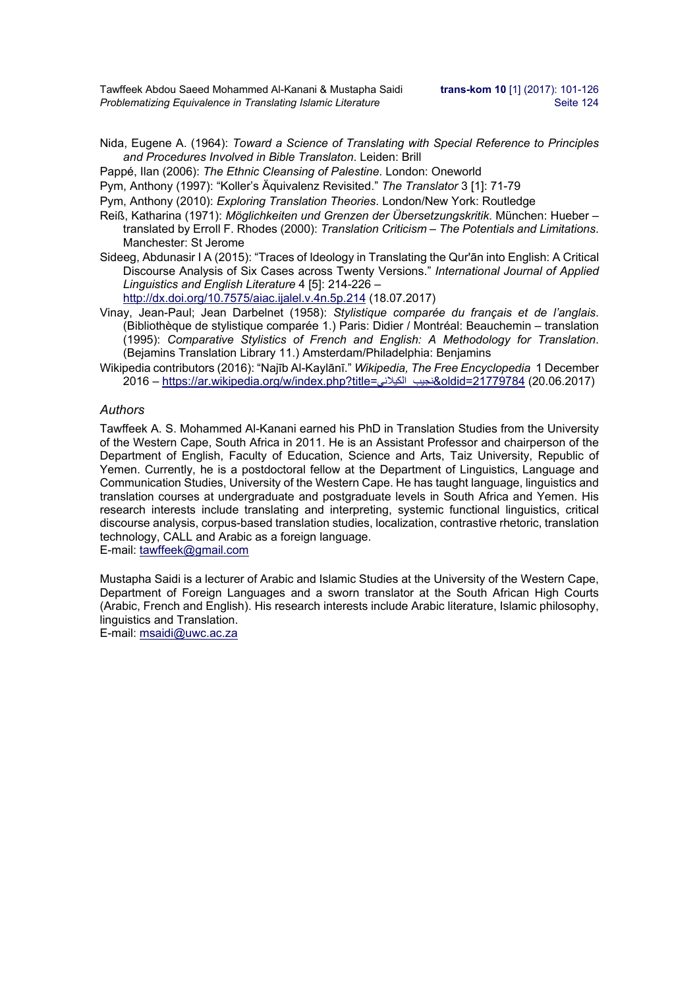Tawffeek Abdou Saeed Mohammed Al-Kanani & Mustapha Saidi **trans-kom 10** [1] (2017): 101-126 *Problematizing Equivalence in Translating Islamic Literature* Sette 124

- Nida, Eugene A. (1964): *Toward a Science of Translating with Special Reference to Principles and Procedures Involved in Bible Translaton*. Leiden: Brill
- Pappé, Ilan (2006): *The Ethnic Cleansing of Palestine*. London: Oneworld
- Pym, Anthony (1997): "Koller's Äquivalenz Revisited." *The Translator* 3 [1]: 71-79

Pym, Anthony (2010): *Exploring Translation Theories*. London/New York: Routledge

- Reiß, Katharina (1971): *Möglichkeiten und Grenzen der Übersetzungskritik*. München: Hueber translated by Erroll F. Rhodes (2000): *Translation Criticism – The Potentials and Limitations*. Manchester: St Jerome
- Sideeg, Abdunasir I A (2015): "Traces of Ideology in Translating the Qur'ān into English: A Critical Discourse Analysis of Six Cases across Twenty Versions." *International Journal of Applied Linguistics and English Literature* 4 [5]: 214-226 –

http://dx.doi.org/10.7575/aiac.ijalel.v.4n.5p.214 (18.07.2017)

- Vinay, Jean-Paul; Jean Darbelnet (1958): *Stylistique comparée du français et de l'anglais*. (Bibliothèque de stylistique comparée 1.) Paris: Didier / Montréal: Beauchemin – translation (1995): *Comparative Stylistics of French and English: A Methodology for Translation*. (Bejamins Translation Library 11.) Amsterdam/Philadelphia: Benjamins
- Wikipedia contributors (2016): "Najīb Al-Kaylānī." *Wikipedia, The Free Encyclopedia* 1 December 2016 – https://ar.wikipedia.org/w/index.php?title=الكيلاني\_نجيب&oldid=21779784 (20.06.2017)

### *Authors*

Tawffeek A. S. Mohammed Al-Kanani earned his PhD in Translation Studies from the University of the Western Cape, South Africa in 2011. He is an Assistant Professor and chairperson of the Department of English, Faculty of Education, Science and Arts, Taiz University, Republic of Yemen. Currently, he is a postdoctoral fellow at the Department of Linguistics, Language and Communication Studies, University of the Western Cape. He has taught language, linguistics and translation courses at undergraduate and postgraduate levels in South Africa and Yemen. His research interests include translating and interpreting, systemic functional linguistics, critical discourse analysis, corpus-based translation studies, localization, contrastive rhetoric, translation technology, CALL and Arabic as a foreign language.

E-mail: tawffeek@gmail.com

Mustapha Saidi is a lecturer of Arabic and Islamic Studies at the University of the Western Cape, Department of Foreign Languages and a sworn translator at the South African High Courts (Arabic, French and English). His research interests include Arabic literature, Islamic philosophy, linguistics and Translation.

E-mail: msaidi@uwc.ac.za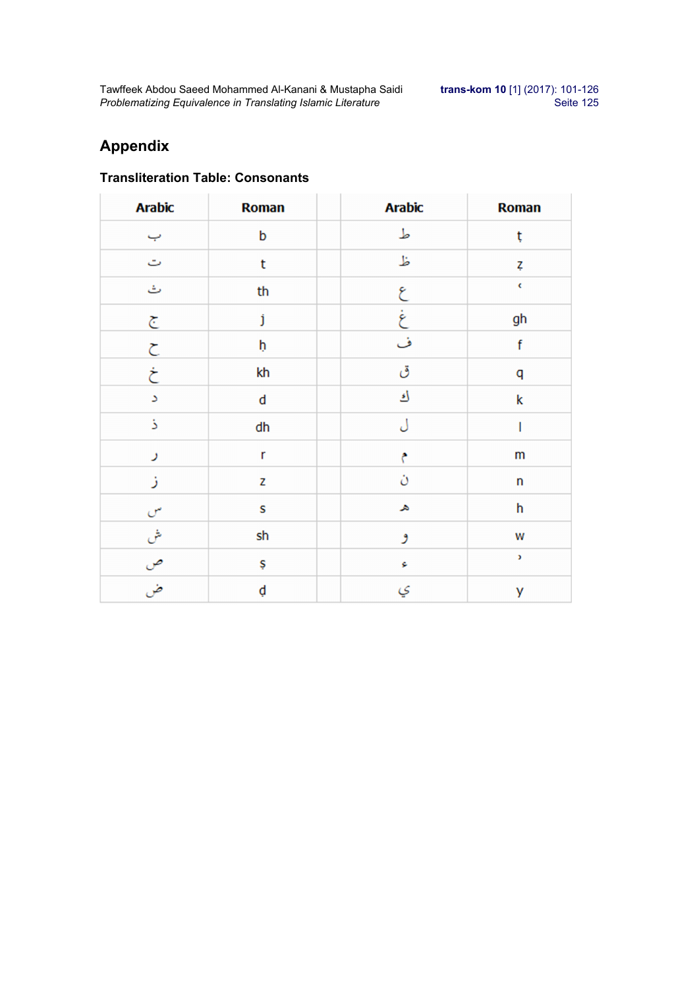Tawffeek Abdou Saeed Mohammed Al-Kanani & Mustapha Saidi **trans-kom 10** [1] (2017): 101-126 Problematizing Equivalence in Translating Islamic Literature **Sexualism Sected 125** Seite 125

# **Appendix**

### **Transliteration Table: Consonants**

| <b>Arabic</b>      | <b>Roman</b> | <b>Arabic</b> | <b>Roman</b> |
|--------------------|--------------|---------------|--------------|
| ب                  | b            | ط             | ţ            |
| ت                  | t            | ظ             | Ź            |
| ٹ                  | th           | ع             | ¢            |
| $\tilde{\epsilon}$ | j            | غ             | gh           |
| $\zeta$            | ħ            | ف             | f            |
| خ                  | kh           | ق             | q            |
| $\Delta$           | d            | ائ            | k            |
| 3                  | dh           | ل             | ı            |
| ر                  | r            | م             | m            |
| ز                  | Z            | Ò             | n            |
| س                  | S            | ه             | h            |
| ىش                 | sh           | و             | W            |
|                    | Ş            | ۶             | Þ            |
| ص<br>ض             | þ            | ي             | у            |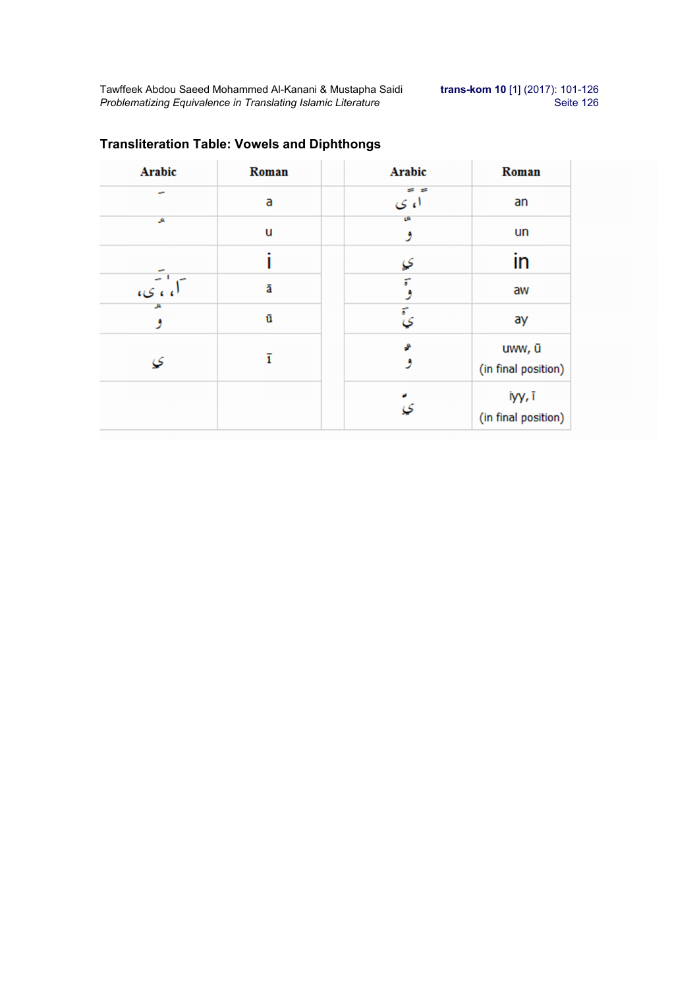Tawffeek Abdou Saeed Mohammed Al-Kanani & Mustapha Saidi **trans-kom 10** [1] (2017): 101-126 *Problematizing Equivalence in Translating Islamic Literature* 

| <b>Arabic</b> | Roman | <b>Arabic</b>        | Roman                         |
|---------------|-------|----------------------|-------------------------------|
| ÷             | а     | ≠ ≠<br>ا، ی          | an                            |
| ه             | u     | ۱ū<br>و              | un                            |
|               |       | ي                    | In                            |
| ، ئى،         | ā     | $\overline{\bullet}$ | aw                            |
| 요             | ū     | ٣<br>ى               | ay                            |
| ي             | ī     | ô<br>و               | uww, ū<br>(in final position) |
|               |       |                      | iyy, ī<br>(in final position) |

### **Transliteration Table: Vowels and Diphthongs**